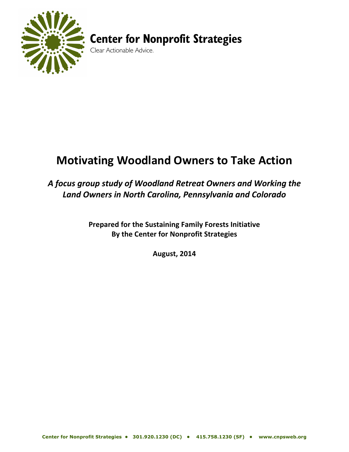

# **Center for Nonprofit Strategies**

Clear Actionable Advice.

# **Motivating Woodland Owners to Take Action**

# *A focus group study of Woodland Retreat Owners and Working the Land Owners in North Carolina, Pennsylvania and Colorado*

**Prepared for the Sustaining Family Forests Initiative By the Center for Nonprofit Strategies**

**August, 2014**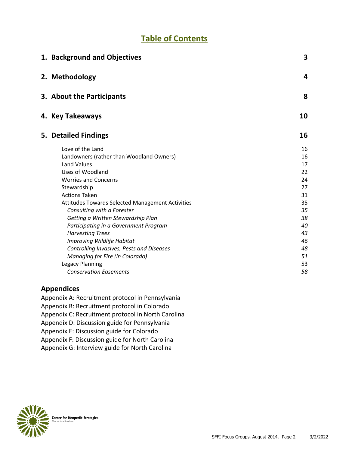# **Table of Contents**

| 1. Background and Objectives                            | 3        |
|---------------------------------------------------------|----------|
| 2. Methodology                                          | 4        |
| 3. About the Participants                               | 8        |
| 4. Key Takeaways                                        | 10       |
| 5. Detailed Findings                                    | 16       |
| Love of the Land                                        | 16       |
| Landowners (rather than Woodland Owners)                | 16       |
| <b>Land Values</b>                                      | 17       |
| <b>Uses of Woodland</b>                                 | 22       |
| <b>Worries and Concerns</b>                             | 24       |
| Stewardship                                             | 27       |
| <b>Actions Taken</b>                                    | 31       |
| <b>Attitudes Towards Selected Management Activities</b> | 35       |
| Consulting with a Forester                              | 35       |
| Getting a Written Stewardship Plan                      | 38       |
| Participating in a Government Program                   | 40       |
| <b>Harvesting Trees</b><br>Improving Wildlife Habitat   | 43<br>46 |
| Controlling Invasives, Pests and Diseases               | 48       |
| Managing for Fire (in Colorado)                         | 51       |
| Legacy Planning                                         | 53       |
| <b>Conservation Easements</b>                           | 58       |
|                                                         |          |

#### **Appendices**

Appendix A: Recruitment protocol in Pennsylvania Appendix B: Recruitment protocol in Colorado Appendix C: Recruitment protocol in North Carolina Appendix D: Discussion guide for Pennsylvania Appendix E: Discussion guide for Colorado Appendix F: Discussion guide for North Carolina Appendix G: Interview guide for North Carolina

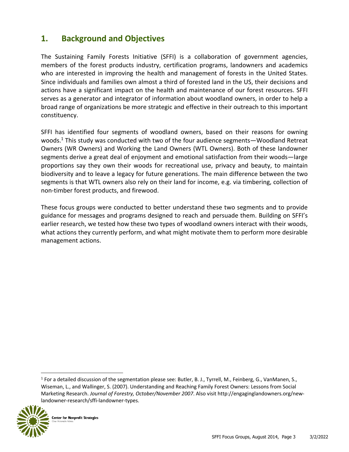## **1. Background and Objectives**

The Sustaining Family Forests Initiative (SFFI) is a collaboration of government agencies, members of the forest products industry, certification programs, landowners and academics who are interested in improving the health and management of forests in the United States. Since individuals and families own almost a third of forested land in the US, their decisions and actions have a significant impact on the health and maintenance of our forest resources. SFFI serves as a generator and integrator of information about woodland owners, in order to help a broad range of organizations be more strategic and effective in their outreach to this important constituency.

SFFI has identified four segments of woodland owners, based on their reasons for owning woods.<sup>1</sup> This study was conducted with two of the four audience segments—Woodland Retreat Owners (WR Owners) and Working the Land Owners (WTL Owners). Both of these landowner segments derive a great deal of enjoyment and emotional satisfaction from their woods—large proportions say they own their woods for recreational use, privacy and beauty, to maintain biodiversity and to leave a legacy for future generations. The main difference between the two segments is that WTL owners also rely on their land for income, e.g. via timbering, collection of non-timber forest products, and firewood.

These focus groups were conducted to better understand these two segments and to provide guidance for messages and programs designed to reach and persuade them. Building on SFFI's earlier research, we tested how these two types of woodland owners interact with their woods, what actions they currently perform, and what might motivate them to perform more desirable management actions.

<sup>&</sup>lt;sup>1</sup> For a detailed discussion of the segmentation please see: Butler, B. J., Tyrrell, M., Feinberg, G., VanManen, S., Wiseman, L., and Wallinger, S. (2007). Understanding and Reaching Family Forest Owners: Lessons from Social Marketing Research. *Journal of Forestry, October/November 2007*. Also visit http://engaginglandowners.org/newlandowner-research/sffi-landowner-types.

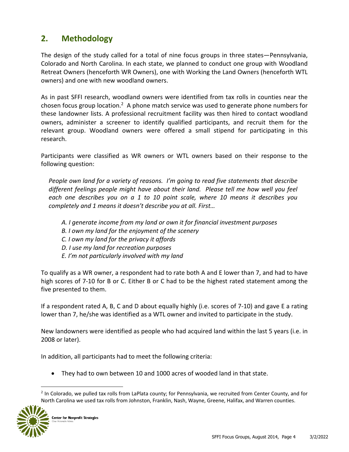## **2. Methodology**

The design of the study called for a total of nine focus groups in three states—Pennsylvania, Colorado and North Carolina. In each state, we planned to conduct one group with Woodland Retreat Owners (henceforth WR Owners), one with Working the Land Owners (henceforth WTL owners) and one with new woodland owners.

As in past SFFI research, woodland owners were identified from tax rolls in counties near the chosen focus group location.<sup>2</sup> A phone match service was used to generate phone numbers for these landowner lists. A professional recruitment facility was then hired to contact woodland owners, administer a screener to identify qualified participants, and recruit them for the relevant group. Woodland owners were offered a small stipend for participating in this research.

Participants were classified as WR owners or WTL owners based on their response to the following question:

*People own land for a variety of reasons. I'm going to read five statements that describe*  different feelings people might have about their land. Please tell me how well you feel *each one describes you on a 1 to 10 point scale, where 10 means it describes you completely and 1 means it doesn't describe you at all. First…*

- *A. I generate income from my land or own it for financial investment purposes*
- *B. I own my land for the enjoyment of the scenery*
- *C. I own my land for the privacy it affords*
- *D. I use my land for recreation purposes*
- *E. I'm not particularly involved with my land*

To qualify as a WR owner, a respondent had to rate both A and E lower than 7, and had to have high scores of 7-10 for B or C. Either B or C had to be the highest rated statement among the five presented to them.

If a respondent rated A, B, C and D about equally highly (i.e. scores of 7-10) and gave E a rating lower than 7, he/she was identified as a WTL owner and invited to participate in the study.

New landowners were identified as people who had acquired land within the last 5 years (i.e. in 2008 or later).

In addition, all participants had to meet the following criteria:

• They had to own between 10 and 1000 acres of wooded land in that state.

<sup>&</sup>lt;sup>2</sup> In Colorado, we pulled tax rolls from LaPlata county; for Pennsylvania, we recruited from Center County, and for North Carolina we used tax rolls from Johnston, Franklin, Nash, Wayne, Greene, Halifax, and Warren counties.

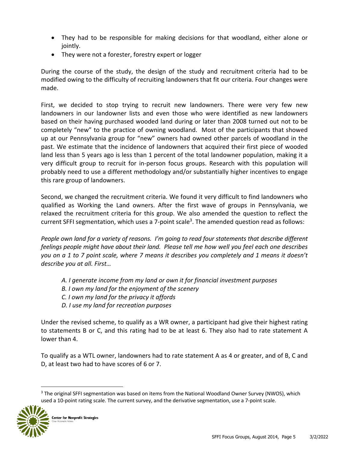- They had to be responsible for making decisions for that woodland, either alone or jointly.
- They were not a forester, forestry expert or logger

During the course of the study, the design of the study and recruitment criteria had to be modified owing to the difficulty of recruiting landowners that fit our criteria. Four changes were made.

First, we decided to stop trying to recruit new landowners. There were very few new landowners in our landowner lists and even those who were identified as new landowners based on their having purchased wooded land during or later than 2008 turned out not to be completely "new" to the practice of owning woodland. Most of the participants that showed up at our Pennsylvania group for "new" owners had owned other parcels of woodland in the past. We estimate that the incidence of landowners that acquired their first piece of wooded land less than 5 years ago is less than 1 percent of the total landowner population, making it a very difficult group to recruit for in-person focus groups. Research with this population will probably need to use a different methodology and/or substantially higher incentives to engage this rare group of landowners.

Second, we changed the recruitment criteria. We found it very difficult to find landowners who qualified as Working the Land owners. After the first wave of groups in Pennsylvania, we relaxed the recruitment criteria for this group. We also amended the question to reflect the current SFFI segmentation, which uses a 7-point scale<sup>3</sup>. The amended question read as follows:

*People own land for a variety of reasons. I'm going to read four statements that describe different feelings people might have about their land. Please tell me how well you feel each one describes you on a 1 to 7 point scale, where 7 means it describes you completely and 1 means it doesn't describe you at all. First…* 

- *A. I generate income from my land or own it for financial investment purposes*
- *B. I own my land for the enjoyment of the scenery*
- *C. I own my land for the privacy it affords*
- *D. I use my land for recreation purposes*

Under the revised scheme, to qualify as a WR owner, a participant had give their highest rating to statements B or C, and this rating had to be at least 6. They also had to rate statement A lower than 4.

To qualify as a WTL owner, landowners had to rate statement A as 4 or greater, and of B, C and D, at least two had to have scores of 6 or 7.

<sup>&</sup>lt;sup>3</sup> The original SFFI segmentation was based on items from the National Woodland Owner Survey (NWOS), which used a 10-point rating scale. The current survey, and the derivative segmentation, use a 7-point scale.

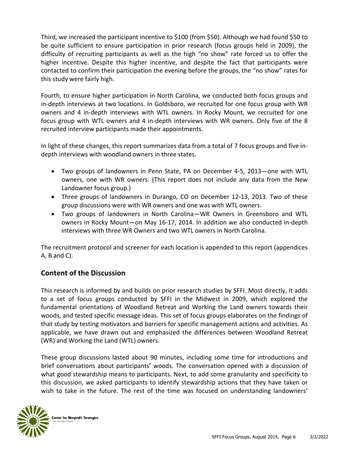Third, we increased the participant incentive to \$100 (from \$50). Although we had found \$50 to be quite sufficient to ensure participation in prior research (focus groups held in 2009), the difficulty of recruiting participants as well as the high "no show" rate forced us to offer the higher incentive. Despite this higher incentive, and despite the fact that participants were contacted to confirm their participation the evening before the groups, the "no show" rates for this study were fairly high.

Fourth, to ensure higher participation in North Carolina, we conducted both focus groups and in-depth interviews at two locations. In Goldsboro, we recruited for one focus group with WR owners and 4 in-depth interviews with WTL owners. In Rocky Mount, we recruited for one focus group with WTL owners and 4 in-depth interviews with WR owners. Only five of the 8 recruited interview participants made their appointments.

In light of these changes, this report summarizes data from a total of 7 focus groups and five indepth interviews with woodland owners in three states.

- Two groups of landowners in Penn State, PA on December 4-5, 2013—one with WTL owners, one with WR owners. (This report does not include any data from the New Landowner focus group.)
- Three groups of landowners in Durango, CO on December 12-13, 2013. Two of these group discussions were with WR owners and one was with WTL owners.
- Two groups of landowners in North Carolina—WR Owners in Greensboro and WTL owners in Rocky Mount—on May 16-17, 2014. In addition we also conducted in-depth interviews with three WR Owners and two WTL owners in North Carolina.

The recruitment protocol and screener for each location is appended to this report (appendices A, B and C).

### **Content of the Discussion**

This research is informed by and builds on prior research studies by SFFI. Most directly, it adds to a set of focus groups conducted by SFFI in the Midwest in 2009, which explored the fundamental orientations of Woodland Retreat and Working the Land owners towards their woods, and tested specific message ideas. This set of focus groups elaborates on the findings of that study by testing motivators and barriers for specific management actions and activities. As applicable, we have drawn out and emphasized the differences between Woodland Retreat (WR) and Working the Land (WTL) owners.

These group discussions lasted about 90 minutes, including some time for introductions and brief conversations about participants' woods. The conversation opened with a discussion of what good stewardship means to participants. Next, to add some granularity and specificity to this discussion, we asked participants to identify stewardship actions that they have taken or wish to take in the future. The rest of the time was focused on understanding landowners'

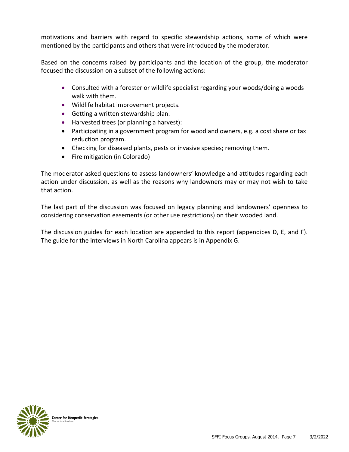motivations and barriers with regard to specific stewardship actions, some of which were mentioned by the participants and others that were introduced by the moderator.

Based on the concerns raised by participants and the location of the group, the moderator focused the discussion on a subset of the following actions:

- Consulted with a forester or wildlife specialist regarding your woods/doing a woods walk with them.
- Wildlife habitat improvement projects.
- Getting a written stewardship plan.
- Harvested trees (or planning a harvest):
- Participating in a government program for woodland owners, e.g. a cost share or tax reduction program.
- Checking for diseased plants, pests or invasive species; removing them.
- Fire mitigation (in Colorado)

The moderator asked questions to assess landowners' knowledge and attitudes regarding each action under discussion, as well as the reasons why landowners may or may not wish to take that action.

The last part of the discussion was focused on legacy planning and landowners' openness to considering conservation easements (or other use restrictions) on their wooded land.

The discussion guides for each location are appended to this report (appendices D, E, and F). The guide for the interviews in North Carolina appears is in Appendix G.

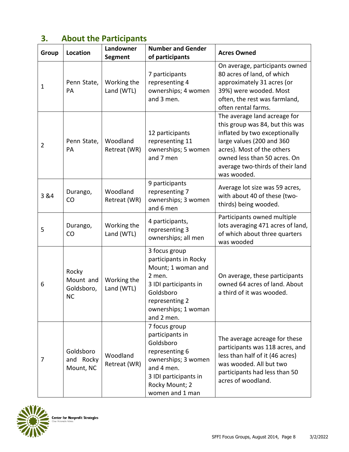# **3. About the Participants**

| Group          | Location                                      | Landowner<br><b>Segment</b> | <b>Number and Gender</b><br>of participants                                                                                                                         | <b>Acres Owned</b>                                                                                                                                                                                                                             |
|----------------|-----------------------------------------------|-----------------------------|---------------------------------------------------------------------------------------------------------------------------------------------------------------------|------------------------------------------------------------------------------------------------------------------------------------------------------------------------------------------------------------------------------------------------|
| 1              | Penn State,<br><b>PA</b>                      | Working the<br>Land (WTL)   | 7 participants<br>representing 4<br>ownerships; 4 women<br>and 3 men.                                                                                               | On average, participants owned<br>80 acres of land, of which<br>approximately 31 acres (or<br>39%) were wooded. Most<br>often, the rest was farmland,<br>often rental farms.                                                                   |
| $\overline{2}$ | Penn State,<br>PA                             | Woodland<br>Retreat (WR)    | 12 participants<br>representing 11<br>ownerships; 5 women<br>and 7 men                                                                                              | The average land acreage for<br>this group was 84, but this was<br>inflated by two exceptionally<br>large values (200 and 360<br>acres). Most of the others<br>owned less than 50 acres. On<br>average two-thirds of their land<br>was wooded. |
| 3 & 4          | Durango,<br>CO                                | Woodland<br>Retreat (WR)    | 9 participants<br>representing 7<br>ownerships; 3 women<br>and 6 men                                                                                                | Average lot size was 59 acres,<br>with about 40 of these (two-<br>thirds) being wooded.                                                                                                                                                        |
| 5              | Durango,<br>CO                                | Working the<br>Land (WTL)   | 4 participants,<br>representing 3<br>ownerships; all men                                                                                                            | Participants owned multiple<br>lots averaging 471 acres of land,<br>of which about three quarters<br>was wooded                                                                                                                                |
| 6              | Rocky<br>Mount and<br>Goldsboro,<br><b>NC</b> | Working the<br>Land (WTL)   | 3 focus group<br>participants in Rocky<br>Mount; 1 woman and<br>2 men.<br>3 IDI participants in<br>Goldsboro<br>representing 2<br>ownerships; 1 woman<br>and 2 men. | On average, these participants<br>owned 64 acres of land. About<br>a third of it was wooded.                                                                                                                                                   |
| 7              | Goldsboro<br>and Rocky<br>Mount, NC           | Woodland<br>Retreat (WR)    | 7 focus group<br>participants in<br>Goldsboro<br>representing 6<br>ownerships; 3 women<br>and 4 men.<br>3 IDI participants in<br>Rocky Mount; 2<br>women and 1 man  | The average acreage for these<br>participants was 118 acres, and<br>less than half of it (46 acres)<br>was wooded. All but two<br>participants had less than 50<br>acres of woodland.                                                          |

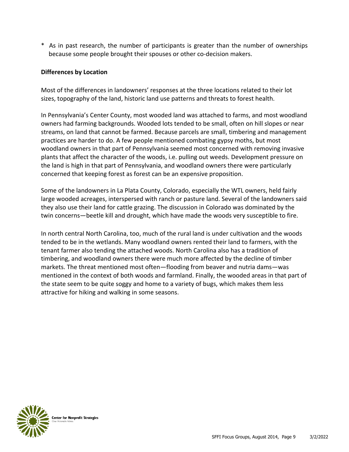\* As in past research, the number of participants is greater than the number of ownerships because some people brought their spouses or other co-decision makers.

#### **Differences by Location**

Most of the differences in landowners' responses at the three locations related to their lot sizes, topography of the land, historic land use patterns and threats to forest health.

In Pennsylvania's Center County, most wooded land was attached to farms, and most woodland owners had farming backgrounds. Wooded lots tended to be small, often on hill slopes or near streams, on land that cannot be farmed. Because parcels are small, timbering and management practices are harder to do. A few people mentioned combating gypsy moths, but most woodland owners in that part of Pennsylvania seemed most concerned with removing invasive plants that affect the character of the woods, i.e. pulling out weeds. Development pressure on the land is high in that part of Pennsylvania, and woodland owners there were particularly concerned that keeping forest as forest can be an expensive proposition.

Some of the landowners in La Plata County, Colorado, especially the WTL owners, held fairly large wooded acreages, interspersed with ranch or pasture land. Several of the landowners said they also use their land for cattle grazing. The discussion in Colorado was dominated by the twin concerns—beetle kill and drought, which have made the woods very susceptible to fire.

In north central North Carolina, too, much of the rural land is under cultivation and the woods tended to be in the wetlands. Many woodland owners rented their land to farmers, with the tenant farmer also tending the attached woods. North Carolina also has a tradition of timbering, and woodland owners there were much more affected by the decline of timber markets. The threat mentioned most often—flooding from beaver and nutria dams—was mentioned in the context of both woods and farmland. Finally, the wooded areas in that part of the state seem to be quite soggy and home to a variety of bugs, which makes them less attractive for hiking and walking in some seasons.

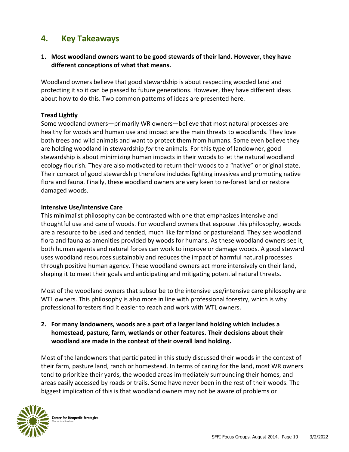### **4. Key Takeaways**

#### **1. Most woodland owners want to be good stewards of their land. However, they have different conceptions of what that means.**

Woodland owners believe that good stewardship is about respecting wooded land and protecting it so it can be passed to future generations. However, they have different ideas about how to do this. Two common patterns of ideas are presented here.

#### **Tread Lightly**

Some woodland owners—primarily WR owners—believe that most natural processes are healthy for woods and human use and impact are the main threats to woodlands. They love both trees and wild animals and want to protect them from humans. Some even believe they are holding woodland in stewardship *for* the animals. For this type of landowner, good stewardship is about minimizing human impacts in their woods to let the natural woodland ecology flourish. They are also motivated to return their woods to a "native" or original state. Their concept of good stewardship therefore includes fighting invasives and promoting native flora and fauna. Finally, these woodland owners are very keen to re-forest land or restore damaged woods.

#### **Intensive Use/Intensive Care**

This minimalist philosophy can be contrasted with one that emphasizes intensive and thoughtful use and care of woods. For woodland owners that espouse this philosophy, woods are a resource to be used and tended, much like farmland or pastureland. They see woodland flora and fauna as amenities provided by woods for humans. As these woodland owners see it, both human agents and natural forces can work to improve or damage woods. A good steward uses woodland resources sustainably and reduces the impact of harmful natural processes through positive human agency. These woodland owners act more intensively on their land, shaping it to meet their goals and anticipating and mitigating potential natural threats.

Most of the woodland owners that subscribe to the intensive use/intensive care philosophy are WTL owners. This philosophy is also more in line with professional forestry, which is why professional foresters find it easier to reach and work with WTL owners.

**2. For many landowners, woods are a part of a larger land holding which includes a homestead, pasture, farm, wetlands or other features. Their decisions about their woodland are made in the context of their overall land holding.**

Most of the landowners that participated in this study discussed their woods in the context of their farm, pasture land, ranch or homestead. In terms of caring for the land, most WR owners tend to prioritize their yards, the wooded areas immediately surrounding their homes, and areas easily accessed by roads or trails. Some have never been in the rest of their woods. The biggest implication of this is that woodland owners may not be aware of problems or

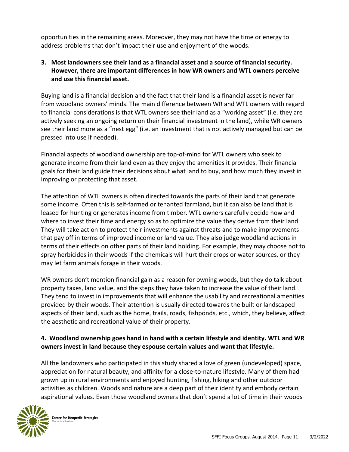opportunities in the remaining areas. Moreover, they may not have the time or energy to address problems that don't impact their use and enjoyment of the woods.

#### **3. Most landowners see their land as a financial asset and a source of financial security. However, there are important differences in how WR owners and WTL owners perceive and use this financial asset.**

Buying land is a financial decision and the fact that their land is a financial asset is never far from woodland owners' minds. The main difference between WR and WTL owners with regard to financial considerations is that WTL owners see their land as a "working asset" (i.e. they are actively seeking an ongoing return on their financial investment in the land), while WR owners see their land more as a "nest egg" (i.e. an investment that is not actively managed but can be pressed into use if needed).

Financial aspects of woodland ownership are top-of-mind for WTL owners who seek to generate income from their land even as they enjoy the amenities it provides. Their financial goals for their land guide their decisions about what land to buy, and how much they invest in improving or protecting that asset.

The attention of WTL owners is often directed towards the parts of their land that generate some income. Often this is self-farmed or tenanted farmland, but it can also be land that is leased for hunting or generates income from timber. WTL owners carefully decide how and where to invest their time and energy so as to optimize the value they derive from their land. They will take action to protect their investments against threats and to make improvements that pay off in terms of improved income or land value. They also judge woodland actions in terms of their effects on other parts of their land holding. For example, they may choose not to spray herbicides in their woods if the chemicals will hurt their crops or water sources, or they may let farm animals forage in their woods.

WR owners don't mention financial gain as a reason for owning woods, but they do talk about property taxes, land value, and the steps they have taken to increase the value of their land. They tend to invest in improvements that will enhance the usability and recreational amenities provided by their woods. Their attention is usually directed towards the built or landscaped aspects of their land, such as the home, trails, roads, fishponds, etc., which, they believe, affect the aesthetic and recreational value of their property.

#### **4. Woodland ownership goes hand in hand with a certain lifestyle and identity. WTL and WR owners invest in land because they espouse certain values and want that lifestyle.**

All the landowners who participated in this study shared a love of green (undeveloped) space, appreciation for natural beauty, and affinity for a close-to-nature lifestyle. Many of them had grown up in rural environments and enjoyed hunting, fishing, hiking and other outdoor activities as children. Woods and nature are a deep part of their identity and embody certain aspirational values. Even those woodland owners that don't spend a lot of time in their woods

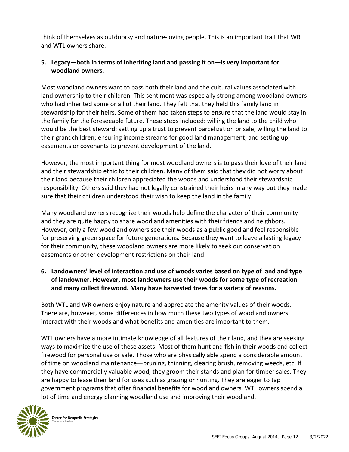think of themselves as outdoorsy and nature-loving people. This is an important trait that WR and WTL owners share.

#### **5. Legacy—both in terms of inheriting land and passing it on—is very important for woodland owners.**

Most woodland owners want to pass both their land and the cultural values associated with land ownership to their children. This sentiment was especially strong among woodland owners who had inherited some or all of their land. They felt that they held this family land in stewardship for their heirs. Some of them had taken steps to ensure that the land would stay in the family for the foreseeable future. These steps included: willing the land to the child who would be the best steward; setting up a trust to prevent parcelization or sale; willing the land to their grandchildren; ensuring income streams for good land management; and setting up easements or covenants to prevent development of the land.

However, the most important thing for most woodland owners is to pass their love of their land and their stewardship ethic to their children. Many of them said that they did not worry about their land because their children appreciated the woods and understood their stewardship responsibility. Others said they had not legally constrained their heirs in any way but they made sure that their children understood their wish to keep the land in the family.

Many woodland owners recognize their woods help define the character of their community and they are quite happy to share woodland amenities with their friends and neighbors. However, only a few woodland owners see their woods as a public good and feel responsible for preserving green space for future generations. Because they want to leave a lasting legacy for their community, these woodland owners are more likely to seek out conservation easements or other development restrictions on their land.

**6. Landowners' level of interaction and use of woods varies based on type of land and type of landowner. However, most landowners use their woods for some type of recreation and many collect firewood. Many have harvested trees for a variety of reasons.**

Both WTL and WR owners enjoy nature and appreciate the amenity values of their woods. There are, however, some differences in how much these two types of woodland owners interact with their woods and what benefits and amenities are important to them.

WTL owners have a more intimate knowledge of all features of their land, and they are seeking ways to maximize the use of these assets. Most of them hunt and fish in their woods and collect firewood for personal use or sale. Those who are physically able spend a considerable amount of time on woodland maintenance—pruning, thinning, clearing brush, removing weeds, etc. If they have commercially valuable wood, they groom their stands and plan for timber sales. They are happy to lease their land for uses such as grazing or hunting. They are eager to tap government programs that offer financial benefits for woodland owners. WTL owners spend a lot of time and energy planning woodland use and improving their woodland.

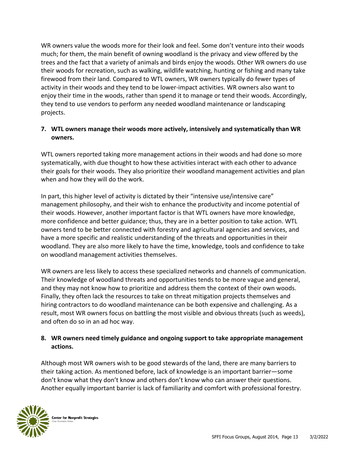WR owners value the woods more for their look and feel. Some don't venture into their woods much; for them, the main benefit of owning woodland is the privacy and view offered by the trees and the fact that a variety of animals and birds enjoy the woods. Other WR owners do use their woods for recreation, such as walking, wildlife watching, hunting or fishing and many take firewood from their land. Compared to WTL owners, WR owners typically do fewer types of activity in their woods and they tend to be lower-impact activities. WR owners also want to enjoy their time in the woods, rather than spend it to manage or tend their woods. Accordingly, they tend to use vendors to perform any needed woodland maintenance or landscaping projects.

#### **7. WTL owners manage their woods more actively, intensively and systematically than WR owners.**

WTL owners reported taking more management actions in their woods and had done so more systematically, with due thought to how these activities interact with each other to advance their goals for their woods. They also prioritize their woodland management activities and plan when and how they will do the work.

In part, this higher level of activity is dictated by their "intensive use/intensive care" management philosophy, and their wish to enhance the productivity and income potential of their woods. However, another important factor is that WTL owners have more knowledge, more confidence and better guidance; thus, they are in a better position to take action. WTL owners tend to be better connected with forestry and agricultural agencies and services, and have a more specific and realistic understanding of the threats and opportunities in their woodland. They are also more likely to have the time, knowledge, tools and confidence to take on woodland management activities themselves.

WR owners are less likely to access these specialized networks and channels of communication. Their knowledge of woodland threats and opportunities tends to be more vague and general, and they may not know how to prioritize and address them the context of their own woods. Finally, they often lack the resources to take on threat mitigation projects themselves and hiring contractors to do woodland maintenance can be both expensive and challenging. As a result, most WR owners focus on battling the most visible and obvious threats (such as weeds), and often do so in an ad hoc way.

#### **8. WR owners need timely guidance and ongoing support to take appropriate management actions.**

Although most WR owners wish to be good stewards of the land, there are many barriers to their taking action. As mentioned before, lack of knowledge is an important barrier—some don't know what they don't know and others don't know who can answer their questions. Another equally important barrier is lack of familiarity and comfort with professional forestry.

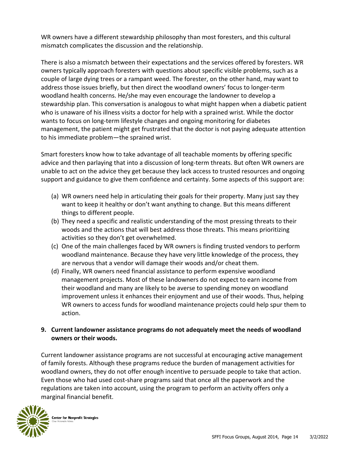WR owners have a different stewardship philosophy than most foresters, and this cultural mismatch complicates the discussion and the relationship.

There is also a mismatch between their expectations and the services offered by foresters. WR owners typically approach foresters with questions about specific visible problems, such as a couple of large dying trees or a rampant weed. The forester, on the other hand, may want to address those issues briefly, but then direct the woodland owners' focus to longer-term woodland health concerns. He/she may even encourage the landowner to develop a stewardship plan. This conversation is analogous to what might happen when a diabetic patient who is unaware of his illness visits a doctor for help with a sprained wrist. While the doctor wants to focus on long-term lifestyle changes and ongoing monitoring for diabetes management, the patient might get frustrated that the doctor is not paying adequate attention to his immediate problem—the sprained wrist.

Smart foresters know how to take advantage of all teachable moments by offering specific advice and then parlaying that into a discussion of long-term threats. But often WR owners are unable to act on the advice they get because they lack access to trusted resources and ongoing support and guidance to give them confidence and certainty. Some aspects of this support are:

- (a) WR owners need help in articulating their goals for their property. Many just say they want to keep it healthy or don't want anything to change. But this means different things to different people.
- (b) They need a specific and realistic understanding of the most pressing threats to their woods and the actions that will best address those threats. This means prioritizing activities so they don't get overwhelmed.
- (c) One of the main challenges faced by WR owners is finding trusted vendors to perform woodland maintenance. Because they have very little knowledge of the process, they are nervous that a vendor will damage their woods and/or cheat them.
- (d) Finally, WR owners need financial assistance to perform expensive woodland management projects. Most of these landowners do not expect to earn income from their woodland and many are likely to be averse to spending money on woodland improvement unless it enhances their enjoyment and use of their woods. Thus, helping WR owners to access funds for woodland maintenance projects could help spur them to action.

#### **9. Current landowner assistance programs do not adequately meet the needs of woodland owners or their woods.**

Current landowner assistance programs are not successful at encouraging active management of family forests. Although these programs reduce the burden of management activities for woodland owners, they do not offer enough incentive to persuade people to take that action. Even those who had used cost-share programs said that once all the paperwork and the regulations are taken into account, using the program to perform an activity offers only a marginal financial benefit.

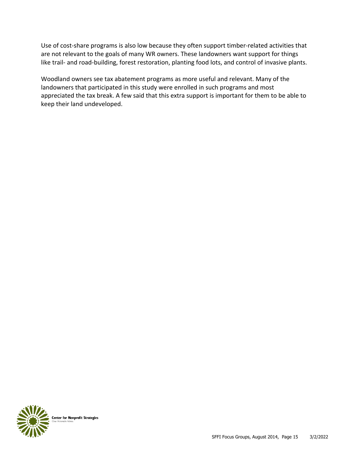Use of cost-share programs is also low because they often support timber-related activities that are not relevant to the goals of many WR owners. These landowners want support for things like trail- and road-building, forest restoration, planting food lots, and control of invasive plants.

Woodland owners see tax abatement programs as more useful and relevant. Many of the landowners that participated in this study were enrolled in such programs and most appreciated the tax break. A few said that this extra support is important for them to be able to keep their land undeveloped.

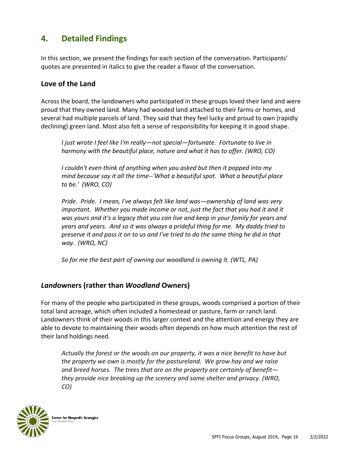# **4. Detailed Findings**

In this section, we present the findings for each section of the conversation. Participants' quotes are presented in italics to give the reader a flavor of the conversation.

#### **Love of the Land**

Across the board, the landowners who participated in these groups loved their land and were proud that they owned land. Many had wooded land attached to their farms or homes, and several had multiple parcels of land. They said that they feel lucky and proud to own (rapidly declining) green land. Most also felt a sense of responsibility for keeping it in good shape.

*I just wrote I feel like I'm really—not special—fortunate. Fortunate to live in harmony with the beautiful place, nature and what it has to offer. (WRO, CO)*

*I couldn't even think of anything when you asked but then it popped into my mind because say it all the time--'What a beautiful spot. What a beautiful place to be.' (WRO, CO)*

*Pride. Pride. I mean, I've always felt like land was—ownership of land was very important. Whether you made income or not, just the fact that you had it and it was yours and it's a legacy that you can live and keep in your family for years and years and years. And so it was always a prideful thing for me. My daddy tried to preserve it and pass it on to us and I've tried to do the same thing he did in that way. (WRO, NC)*

*So for me the best part of owning our woodland is owning it. (WTL, PA)*

#### *Land***owners (rather than** *Woodland* **Owners)**

For many of the people who participated in these groups, woods comprised a portion of their total land acreage, which often included a homestead or pasture, farm or ranch land. Landowners think of their woods in this larger context and the attention and energy they are able to devote to maintaining their woods often depends on how much attention the rest of their land holdings need.

*Actually the forest or the woods on our property, it was a nice benefit to have but the property we own is mostly for the pastureland. We grow hay and we raise and breed horses. The trees that are on the property are certainly of benefit they provide nice breaking up the scenery and some shelter and privacy. (WRO, CO)*

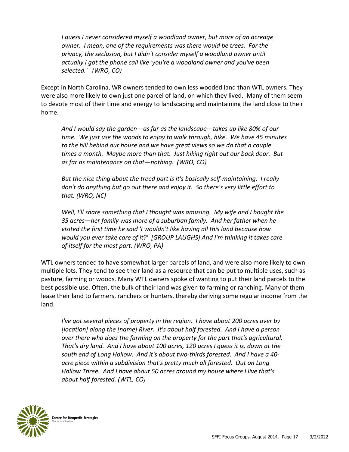*I guess I never considered myself a woodland owner, but more of an acreage owner. I mean, one of the requirements was there would be trees. For the privacy, the seclusion, but I didn't consider myself a woodland owner until actually I got the phone call like 'you're a woodland owner and you've been selected.' (WRO, CO)*

Except in North Carolina, WR owners tended to own less wooded land than WTL owners. They were also more likely to own just one parcel of land, on which they lived. Many of them seem to devote most of their time and energy to landscaping and maintaining the land close to their home.

*And I would say the garden—as far as the landscape—takes up like 80% of our time. We just use the woods to enjoy to walk through, hike. We have 45 minutes to the hill behind our house and we have great views so we do that a couple times a month. Maybe more than that. Just hiking right out our back door. But as far as maintenance on that—nothing. (WRO, CO)*

*But the nice thing about the treed part is it's basically self-maintaining. I really don't do anything but go out there and enjoy it. So there's very little effort to that. (WRO, NC)*

*Well, I'll share something that I thought was amusing. My wife and I bought the 35 acres—her family was more of a suburban family. And her father when he visited the first time he said 'I wouldn't like having all this land because how would you ever take care of it?' [GROUP LAUGHS] And I'm thinking it takes care of itself for the most part. (WRO, PA)*

WTL owners tended to have somewhat larger parcels of land, and were also more likely to own multiple lots. They tend to see their land as a resource that can be put to multiple uses, such as pasture, farming or woods. Many WTL owners spoke of wanting to put their land parcels to the best possible use. Often, the bulk of their land was given to farming or ranching. Many of them lease their land to farmers, ranchers or hunters, thereby deriving some regular income from the land.

*I've got several pieces of property in the region. I have about 200 acres over by [location] along the [name] River. It's about half forested. And I have a person over there who does the farming on the property for the part that's agricultural. That's dry land. And I have about 100 acres, 120 acres I guess it is, down at the south end of Long Hollow. And it's about two-thirds forested. And I have a 40 acre piece within a subdivision that's pretty much all forested. Out on Long Hollow Three. And I have about 50 acres around my house where I live that's about half forested. (WTL, CO)*

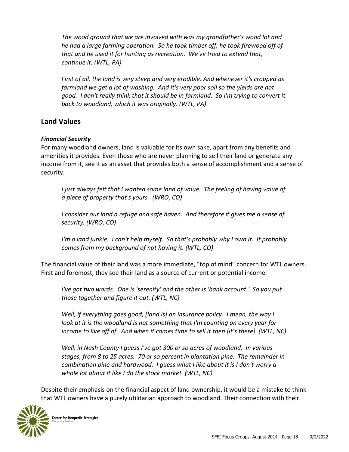*The wood ground that we are involved with was my grandfather's wood lot and he had a large farming operation. So he took timber off, he took firewood off of that and he used it for hunting as recreation. We've tried to extend that, continue it. (WTL, PA)*

*First of all, the land is very steep and very erodible. And whenever it's cropped as farmland we get a lot of washing. And it's very poor soil so the yields are not good. I don't really think that it should be in farmland. So I'm trying to convert it back to woodland, which it was originally. (WTL, PA)*

#### **Land Values**

#### *Financial Security*

For many woodland owners, land is valuable for its own sake, apart from any benefits and amenities it provides. Even those who are never planning to sell their land or generate any income from it, see it as an asset that provides both a sense of accomplishment and a sense of security.

*I just always felt that I wanted some land of value. The feeling of having value of a piece of property that's yours. (WRO, CO)*

*I consider our land a refuge and safe haven. And therefore it gives me a sense of security. (WRO, CO)*

*I'm a land junkie. I can't help myself. So that's probably why I own it. It probably comes from my background of not having it. (WTL, CO)*

The financial value of their land was a more immediate, "top of mind" concern for WTL owners. First and foremost, they see their land as a source of current or potential income.

*I've got two words. One is 'serenity' and the other is 'bank account.' So you put those together and figure it out. (WTL, NC)*

*Well, if everything goes good, [land is] an insurance policy. I mean, the way I look at it is the woodland is not something that I'm counting on every year for income to live off of. And when it comes time to sell it then [it's there]. (WTL, NC)*

*Well, in Nash County I guess I've got 300 or so acres of woodland. In various stages, from 8 to 25 acres. 70 or so percent in plantation pine. The remainder in combination pine and hardwood. I guess what I like about it is I don't worry a whole lot about it like I do the stock market. (WTL, NC)*

Despite their emphasis on the financial aspect of land ownership, it would be a mistake to think that WTL owners have a purely utilitarian approach to woodland. Their connection with their

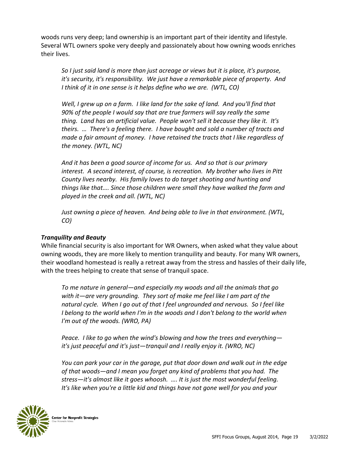woods runs very deep; land ownership is an important part of their identity and lifestyle. Several WTL owners spoke very deeply and passionately about how owning woods enriches their lives.

*So I just said land is more than just acreage or views but it is place, it's purpose, it's security, it's responsibility. We just have a remarkable piece of property. And I think of it in one sense is it helps define who we are. (WTL, CO)*

*Well, I grew up on a farm. I like land for the sake of land. And you'll find that 90% of the people I would say that are true farmers will say really the same thing. Land has an artificial value. People won't sell it because they like it. It's theirs. … There's a feeling there. I have bought and sold a number of tracts and made a fair amount of money. I have retained the tracts that I like regardless of the money. (WTL, NC)*

*And it has been a good source of income for us. And so that is our primary interest. A second interest, of course, is recreation. My brother who lives in Pitt County lives nearby. His family loves to do target shooting and hunting and things like that…. Since those children were small they have walked the farm and played in the creek and all. (WTL, NC)*

*Just owning a piece of heaven. And being able to live in that environment. (WTL, CO)*

#### *Tranquility and Beauty*

While financial security is also important for WR Owners, when asked what they value about owning woods, they are more likely to mention tranquility and beauty. For many WR owners, their woodland homestead is really a retreat away from the stress and hassles of their daily life, with the trees helping to create that sense of tranquil space.

*To me nature in general—and especially my woods and all the animals that go with it—are very grounding. They sort of make me feel like I am part of the natural cycle. When I go out of that I feel ungrounded and nervous. So I feel like I belong to the world when I'm in the woods and I don't belong to the world when I'm out of the woods. (WRO, PA)*

*Peace. I like to go when the wind's blowing and how the trees and everything it's just peaceful and it's just—tranquil and I really enjoy it. (WRO, NC)*

*You can park your car in the garage, put that door down and walk out in the edge of that woods—and I mean you forget any kind of problems that you had. The stress—it's almost like it goes whoosh. …. It is just the most wonderful feeling. It's like when you're a little kid and things have not gone well for you and your* 

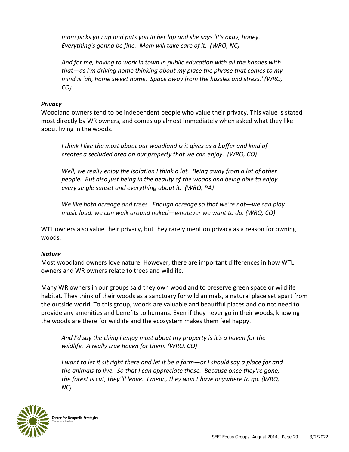*mom picks you up and puts you in her lap and she says 'it's okay, honey. Everything's gonna be fine. Mom will take care of it.' (WRO, NC)*

*And for me, having to work in town in public education with all the hassles with that—as I'm driving home thinking about my place the phrase that comes to my mind is 'ah, home sweet home. Space away from the hassles and stress.' (WRO, CO)*

#### *Privacy*

Woodland owners tend to be independent people who value their privacy. This value is stated most directly by WR owners, and comes up almost immediately when asked what they like about living in the woods.

*I think I like the most about our woodland is it gives us a buffer and kind of creates a secluded area on our property that we can enjoy. (WRO, CO)*

*Well, we really enjoy the isolation I think a lot. Being away from a lot of other people. But also just being in the beauty of the woods and being able to enjoy every single sunset and everything about it. (WRO, PA)*

*We like both acreage and trees. Enough acreage so that we're not—we can play music loud, we can walk around naked—whatever we want to do. (WRO, CO)*

WTL owners also value their privacy, but they rarely mention privacy as a reason for owning woods.

#### *Nature*

Most woodland owners love nature. However, there are important differences in how WTL owners and WR owners relate to trees and wildlife.

Many WR owners in our groups said they own woodland to preserve green space or wildlife habitat. They think of their woods as a sanctuary for wild animals, a natural place set apart from the outside world. To this group, woods are valuable and beautiful places and do not need to provide any amenities and benefits to humans. Even if they never go in their woods, knowing the woods are there for wildlife and the ecosystem makes them feel happy.

*And I'd say the thing I enjoy most about my property is it's a haven for the wildlife. A really true haven for them. (WRO, CO)*

*I* want to let it sit right there and let it be a farm—or I should say a place for and *the animals to live. So that I can appreciate those. Because once they're gone, the forest is cut, they''ll leave. I mean, they won't have anywhere to go. (WRO, NC)*

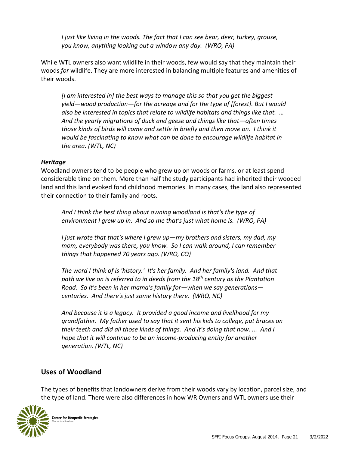*I just like living in the woods. The fact that I can see bear, deer, turkey, grouse, you know, anything looking out a window any day. (WRO, PA)*

While WTL owners also want wildlife in their woods, few would say that they maintain their woods *for* wildlife. They are more interested in balancing multiple features and amenities of their woods.

*[I am interested in] the best ways to manage this so that you get the biggest yield—wood production—for the acreage and for the type of [forest]. But I would also be interested in topics that relate to wildlife habitats and things like that. … And the yearly migrations of duck and geese and things like that—often times those kinds of birds will come and settle in briefly and then move on. I think it would be fascinating to know what can be done to encourage wildlife habitat in the area. (WTL, NC)*

#### *Heritage*

Woodland owners tend to be people who grew up on woods or farms, or at least spend considerable time on them. More than half the study participants had inherited their wooded land and this land evoked fond childhood memories. In many cases, the land also represented their connection to their family and roots.

*And I think the best thing about owning woodland is that's the type of environment I grew up in. And so me that's just what home is. (WRO, PA)*

*I just wrote that that's where I grew up—my brothers and sisters, my dad, my mom, everybody was there, you know. So I can walk around, I can remember things that happened 70 years ago. (WRO, CO)*

*The word I think of is 'history.' It's her family. And her family's land. And that path we live on is referred to in deeds from the 18th century as the Plantation Road. So it's been in her mama's family for—when we say generations centuries. And there's just some history there. (WRO, NC)*

*And because it is a legacy. It provided a good income and livelihood for my grandfather. My father used to say that it sent his kids to college, put braces on their teeth and did all those kinds of things. And it's doing that now. ... And I hope that it will continue to be an income-producing entity for another generation. (WTL, NC)*

#### **Uses of Woodland**

The types of benefits that landowners derive from their woods vary by location, parcel size, and the type of land. There were also differences in how WR Owners and WTL owners use their

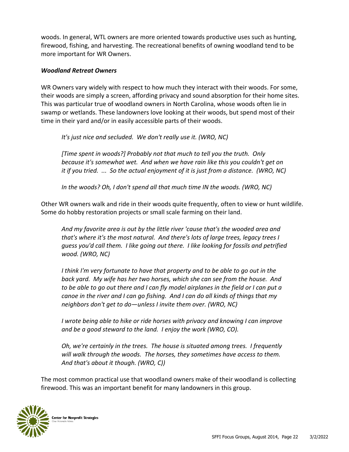woods. In general, WTL owners are more oriented towards productive uses such as hunting, firewood, fishing, and harvesting. The recreational benefits of owning woodland tend to be more important for WR Owners.

#### *Woodland Retreat Owners*

WR Owners vary widely with respect to how much they interact with their woods. For some, their woods are simply a screen, affording privacy and sound absorption for their home sites. This was particular true of woodland owners in North Carolina, whose woods often lie in swamp or wetlands. These landowners love looking at their woods, but spend most of their time in their yard and/or in easily accessible parts of their woods.

*It's just nice and secluded. We don't really use it. (WRO, NC)*

*[Time spent in woods?] Probably not that much to tell you the truth. Only because it's somewhat wet. And when we have rain like this you couldn't get on it if you tried. ... So the actual enjoyment of it is just from a distance. (WRO, NC)*

In the woods? Oh, I don't spend all that much time IN the woods. (WRO, NC)

Other WR owners walk and ride in their woods quite frequently, often to view or hunt wildlife. Some do hobby restoration projects or small scale farming on their land.

*And my favorite area is out by the little river 'cause that's the wooded area and that's where it's the most natural. And there's lots of large trees, legacy trees I guess you'd call them. I like going out there. I like looking for fossils and petrified wood. (WRO, NC)*

*I think I'm very fortunate to have that property and to be able to go out in the back yard. My wife has her two horses, which she can see from the house. And to be able to go out there and I can fly model airplanes in the field or I can put a canoe in the river and I can go fishing. And I can do all kinds of things that my neighbors don't get to do—unless I invite them over. (WRO, NC)*

*I wrote being able to hike or ride horses with privacy and knowing I can improve and be a good steward to the land. I enjoy the work (WRO, CO).* 

*Oh, we're certainly in the trees. The house is situated among trees. I frequently will walk through the woods. The horses, they sometimes have access to them. And that's about it though. (WRO, C))*

The most common practical use that woodland owners make of their woodland is collecting firewood. This was an important benefit for many landowners in this group.

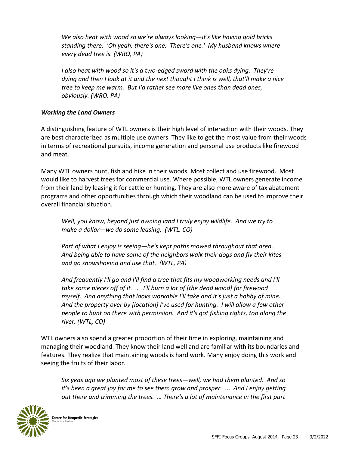*We also heat with wood so we're always looking—it's like having gold bricks standing there. 'Oh yeah, there's one. There's one.' My husband knows where every dead tree is. (WRO, PA)*

*I also heat with wood so it's a two-edged sword with the oaks dying. They're dying and then I look at it and the next thought I think is well, that'll make a nice tree to keep me warm. But I'd rather see more live ones than dead ones, obviously. (WRO, PA)*

#### *Working the Land Owners*

A distinguishing feature of WTL owners is their high level of interaction with their woods. They are best characterized as multiple use owners. They like to get the most value from their woods in terms of recreational pursuits, income generation and personal use products like firewood and meat.

Many WTL owners hunt, fish and hike in their woods. Most collect and use firewood. Most would like to harvest trees for commercial use. Where possible, WTL owners generate income from their land by leasing it for cattle or hunting. They are also more aware of tax abatement programs and other opportunities through which their woodland can be used to improve their overall financial situation.

*Well, you know, beyond just owning land I truly enjoy wildlife. And we try to make a dollar—we do some leasing. (WTL, CO)*

*Part of what I enjoy is seeing—he's kept paths mowed throughout that area. And being able to have some of the neighbors walk their dogs and fly their kites and go snowshoeing and use that. (WTL, PA)*

*And frequently I'll go and I'll find a tree that fits my woodworking needs and I'll take some pieces off of it. … I'll burn a lot of [the dead wood] for firewood myself. And anything that looks workable I'll take and it's just a hobby of mine. And the property over by [location] I've used for hunting. I will allow a few other people to hunt on there with permission. And it's got fishing rights, too along the river. (WTL, CO)*

WTL owners also spend a greater proportion of their time in exploring, maintaining and managing their woodland. They know their land well and are familiar with its boundaries and features. They realize that maintaining woods is hard work. Many enjoy doing this work and seeing the fruits of their labor.

*Six yeas ago we planted most of these trees—well, we had them planted. And so it's been a great joy for me to see them grow and prosper. ... And I enjoy getting out there and trimming the trees. … There's a lot of maintenance in the first part* 

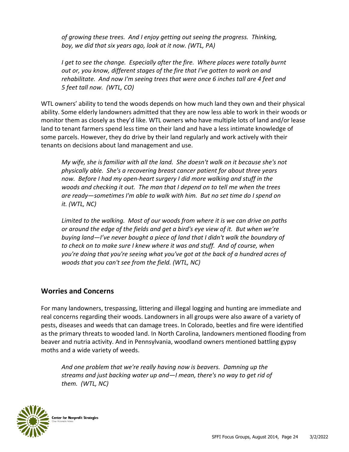*of growing these trees. And I enjoy getting out seeing the progress. Thinking, boy, we did that six years ago, look at it now. (WTL, PA)*

*I get to see the change. Especially after the fire. Where places were totally burnt out or, you know, different stages of the fire that I've gotten to work on and rehabilitate. And now I'm seeing trees that were once 6 inches tall are 4 feet and 5 feet tall now. (WTL, CO)*

WTL owners' ability to tend the woods depends on how much land they own and their physical ability. Some elderly landowners admitted that they are now less able to work in their woods or monitor them as closely as they'd like. WTL owners who have multiple lots of land and/or lease land to tenant farmers spend less time on their land and have a less intimate knowledge of some parcels. However, they do drive by their land regularly and work actively with their tenants on decisions about land management and use.

*My wife, she is familiar with all the land. She doesn't walk on it because she's not physically able. She's a recovering breast cancer patient for about three years now. Before I had my open-heart surgery I did more walking and stuff in the woods and checking it out. The man that I depend on to tell me when the trees are ready—sometimes I'm able to walk with him. But no set time do I spend on it. (WTL, NC)*

*Limited to the walking. Most of our woods from where it is we can drive on paths or around the edge of the fields and get a bird's eye view of it. But when we're buying land—I've never bought a piece of land that I didn't walk the boundary of to check on to make sure I knew where it was and stuff. And of course, when you're doing that you're seeing what you've got at the back of a hundred acres of woods that you can't see from the field. (WTL, NC)*

#### **Worries and Concerns**

For many landowners, trespassing, littering and illegal logging and hunting are immediate and real concerns regarding their woods. Landowners in all groups were also aware of a variety of pests, diseases and weeds that can damage trees. In Colorado, beetles and fire were identified as the primary threats to wooded land. In North Carolina, landowners mentioned flooding from beaver and nutria activity. And in Pennsylvania, woodland owners mentioned battling gypsy moths and a wide variety of weeds.

*And one problem that we're really having now is beavers. Damning up the streams and just backing water up and—I mean, there's no way to get rid of them. (WTL, NC)*

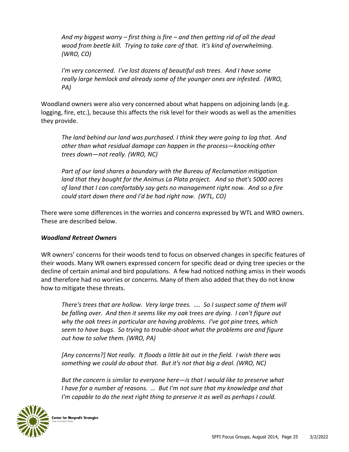*And my biggest worry – first thing is fire – and then getting rid of all the dead wood from beetle kill. Trying to take care of that. It's kind of overwhelming. (WRO, CO)*

*I'm very concerned. I've lost dozens of beautiful ash trees. And I have some really large hemlock and already some of the younger ones are infested. (WRO, PA)*

Woodland owners were also very concerned about what happens on adjoining lands (e.g. logging, fire, etc.), because this affects the risk level for their woods as well as the amenities they provide.

*The land behind our land was purchased. I think they were going to log that. And other than what residual damage can happen in the process—knocking other trees down—not really. (WRO, NC)*

*Part of our land shares a boundary with the Bureau of Reclamation mitigation land that they bought for the Animus La Plata project. And so that's 5000 acres of land that I can comfortably say gets no management right now. And so a fire could start down there and I'd be had right now. (WTL, CO)*

There were some differences in the worries and concerns expressed by WTL and WRO owners. These are described below.

#### *Woodland Retreat Owners*

WR owners' concerns for their woods tend to focus on observed changes in specific features of their woods. Many WR owners expressed concern for specific dead or dying tree species or the decline of certain animal and bird populations. A few had noticed nothing amiss in their woods and therefore had no worries or concerns. Many of them also added that they do not know how to mitigate these threats.

*There's trees that are hollow. Very large trees. …. So I suspect some of them will be falling over. And then it seems like my oak trees are dying. I can't figure out why the oak trees in particular are having problems. I've got pine trees, which seem to have bugs. So trying to trouble-shoot what the problems are and figure out how to solve them. (WRO, PA)* 

*[Any concerns?] Not really. It floods a little bit out in the field. I wish there was something we could do about that. But it's not that big a deal. (WRO, NC)*

*But the concern is similar to everyone here—is that I would like to preserve what I have for a number of reasons. … But I'm not sure that my knowledge and that I'm capable to do the next right thing to preserve it as well as perhaps I could.* 

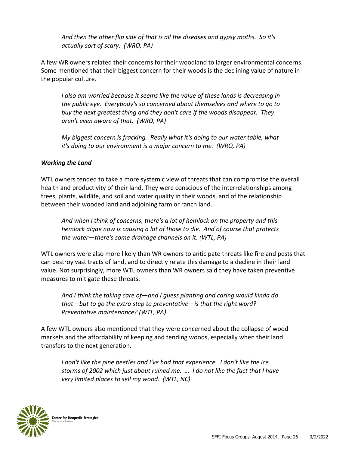*And then the other flip side of that is all the diseases and gypsy moths. So it's actually sort of scary. (WRO, PA)*

A few WR owners related their concerns for their woodland to larger environmental concerns. Some mentioned that their biggest concern for their woods is the declining value of nature in the popular culture.

*I also am worried because it seems like the value of these lands is decreasing in the public eye. Everybody's so concerned about themselves and where to go to buy the next greatest thing and they don't care if the woods disappear. They aren't even aware of that. (WRO, PA)*

*My biggest concern is fracking. Really what it's doing to our water table, what it's doing to our environment is a major concern to me. (WRO, PA)*

#### *Working the Land*

WTL owners tended to take a more systemic view of threats that can compromise the overall health and productivity of their land. They were conscious of the interrelationships among trees, plants, wildlife, and soil and water quality in their woods, and of the relationship between their wooded land and adjoining farm or ranch land.

*And when I think of concerns, there's a lot of hemlock on the property and this hemlock algae now is causing a lot of those to die. And of course that protects the water—there's some drainage channels on it. (WTL, PA)*

WTL owners were also more likely than WR owners to anticipate threats like fire and pests that can destroy vast tracts of land, and to directly relate this damage to a decline in their land value. Not surprisingly, more WTL owners than WR owners said they have taken preventive measures to mitigate these threats.

*And I think the taking care of—and I guess planting and caring would kinda do that—but to go the extra step to preventative—is that the right word? Preventative maintenance? (WTL, PA)* 

A few WTL owners also mentioned that they were concerned about the collapse of wood markets and the affordability of keeping and tending woods, especially when their land transfers to the next generation.

*I don't like the pine beetles and I've had that experience. I don't like the ice storms of 2002 which just about ruined me. … I do not like the fact that I have very limited places to sell my wood. (WTL, NC)*

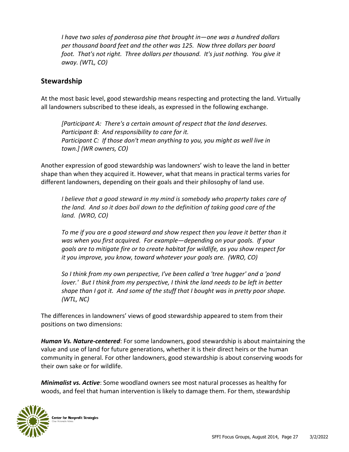*I have two sales of ponderosa pine that brought in—one was a hundred dollars per thousand board feet and the other was 125. Now three dollars per board foot. That's not right. Three dollars per thousand. It's just nothing. You give it away. (WTL, CO)*

#### **Stewardship**

At the most basic level, good stewardship means respecting and protecting the land. Virtually all landowners subscribed to these ideals, as expressed in the following exchange.

*[Participant A: There's a certain amount of respect that the land deserves. Participant B: And responsibility to care for it. Participant C: If those don't mean anything to you, you might as well live in town.] (WR owners, CO)*

Another expression of good stewardship was landowners' wish to leave the land in better shape than when they acquired it. However, what that means in practical terms varies for different landowners, depending on their goals and their philosophy of land use.

*I believe that a good steward in my mind is somebody who property takes care of the land. And so it does boil down to the definition of taking good care of the land. (WRO, CO)*

*To me if you are a good steward and show respect then you leave it better than it was when you first acquired. For example—depending on your goals. If your goals are to mitigate fire or to create habitat for wildlife, as you show respect for it you improve, you know, toward whatever your goals are. (WRO, CO)*

*So I think from my own perspective, I've been called a 'tree hugger' and a 'pond lover.' But I think from my perspective, I think the land needs to be left in better shape than I got it. And some of the stuff that I bought was in pretty poor shape. (WTL, NC)*

The differences in landowners' views of good stewardship appeared to stem from their positions on two dimensions:

*Human Vs. Nature-centered*: For some landowners, good stewardship is about maintaining the value and use of land for future generations, whether it is their direct heirs or the human community in general. For other landowners, good stewardship is about conserving woods for their own sake or for wildlife.

*Minimalist vs. Active*: Some woodland owners see most natural processes as healthy for woods, and feel that human intervention is likely to damage them. For them, stewardship

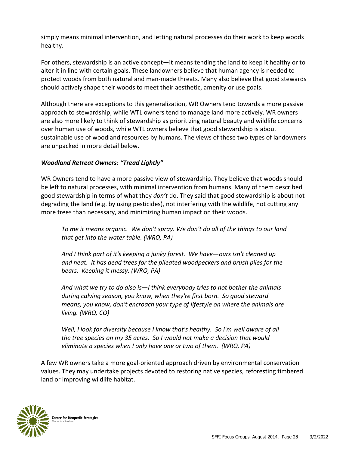simply means minimal intervention, and letting natural processes do their work to keep woods healthy.

For others, stewardship is an active concept—it means tending the land to keep it healthy or to alter it in line with certain goals. These landowners believe that human agency is needed to protect woods from both natural and man-made threats. Many also believe that good stewards should actively shape their woods to meet their aesthetic, amenity or use goals.

Although there are exceptions to this generalization, WR Owners tend towards a more passive approach to stewardship, while WTL owners tend to manage land more actively. WR owners are also more likely to think of stewardship as prioritizing natural beauty and wildlife concerns over human use of woods, while WTL owners believe that good stewardship is about sustainable use of woodland resources by humans. The views of these two types of landowners are unpacked in more detail below.

#### *Woodland Retreat Owners: "Tread Lightly"*

WR Owners tend to have a more passive view of stewardship. They believe that woods should be left to natural processes, with minimal intervention from humans. Many of them described good stewardship in terms of what they *don't* do. They said that good stewardship is about not degrading the land (e.g. by using pesticides), not interfering with the wildlife, not cutting any more trees than necessary, and minimizing human impact on their woods.

*To me it means organic. We don't spray. We don't do all of the things to our land that get into the water table. (WRO, PA)*

*And I think part of it's keeping a junky forest. We have—ours isn't cleaned up and neat. It has dead trees for the pileated woodpeckers and brush piles for the bears. Keeping it messy. (WRO, PA)*

*And what we try to do also is—I think everybody tries to not bother the animals during calving season, you know, when they're first born. So good steward means, you know, don't encroach your type of lifestyle on where the animals are living. (WRO, CO)*

*Well, I look for diversity because I know that's healthy. So I'm well aware of all the tree species on my 35 acres. So I would not make a decision that would eliminate a species when I only have one or two of them. (WRO, PA)*

A few WR owners take a more goal-oriented approach driven by environmental conservation values. They may undertake projects devoted to restoring native species, reforesting timbered land or improving wildlife habitat.

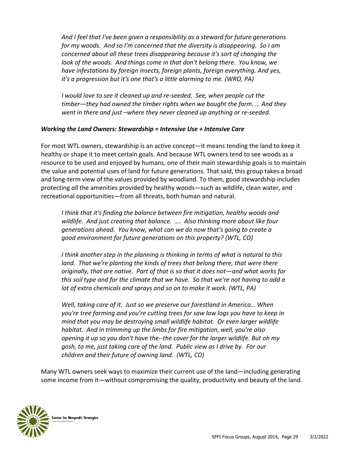*And I feel that I've been given a responsibility as a steward for future generations for my woods. And so I'm concerned that the diversity is disappearing. So I am concerned about all these trees disappearing because it's sort of changing the look of the woods. And things come in that don't belong there. You know, we have infestations by foreign insects, foreign plants, foreign everything. And yes, it's a progression but it's one that's a little alarming to me. (WRO, PA)*

*I* would love to see it cleaned up and re-seeded. See, when people cut the *timber—they had owned the timber rights when we bought the farm. … And they went in there and just –where they never cleaned up anything or re-seeded.* 

#### *Working the Land Owners: Stewardship = Intensive Use + Intensive Care*

For most WTL owners, stewardship is an active concept—it means tending the land to keep it healthy or shape it to meet certain goals. And because WTL owners tend to see woods as a resource to be used and enjoyed by humans, one of their main stewardship goals is to maintain the value and potential uses of land for future generations. That said, this group takes a broad and long-term view of the values provided by woodland. To them, good stewardship includes protecting *all* the amenities provided by healthy woods—such as wildlife, clean water, and recreational opportunities—from all threats, both human and natural.

*I think that it's finding the balance between fire mitigation, healthy woods and wildlife. And just creating that balance. …. Also thinking more about like four generations ahead. You know, what can we do now that's going to create a good environment for future generations on this property? (WTL, CO)*

*I think another step in the planning is thinking in terms of what is natural to this*  land. That we're planting the kinds of trees that belong there, that were there *originally, that are native. Part of that is so that it does not—and what works for this soil type and for the climate that we have. So that we're not having to add a lot of extra chemicals and sprays and so on to make it work. (WTL, PA)*

*Well, taking care of it. Just so we preserve our forestland in America… When you're tree farming and you're cutting trees for saw law logs you have to keep in mind that you may be destroying small wildlife habitat. Or even larger wildlife habitat. And in trimming up the limbs for fire mitigation, well, you're also opening it up so you don't have the--the cover for the larger wildlife. But oh my gosh, to me, just taking care of the land. Public view as I drive by. For our children and their future of owning land. (WTL, CO)*

Many WTL owners seek ways to maximize their current use of the land—including generating some income from it—without compromising the quality, productivity and beauty of the land.

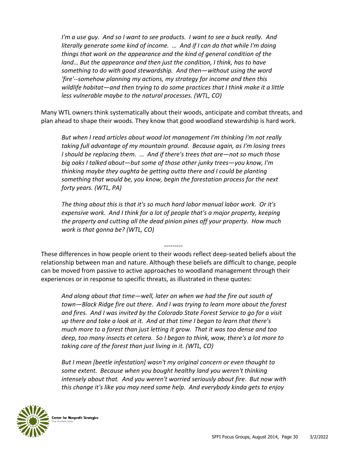*I'm a use guy. And so I want to see products. I want to see a buck really. And literally generate some kind of income. … And if I can do that while I'm doing things that work on the appearance and the kind of general condition of the*  land... But the appearance and then just the condition, I think, has to have *something to do with good stewardship. And then—without using the word 'fire'--somehow planning my actions, my strategy for income and then this wildlife habitat—and then trying to do some practices that I think make it a little less vulnerable maybe to the natural processes. (WTL, CO)*

Many WTL owners think systematically about their woods, anticipate and combat threats, and plan ahead to shape their woods. They know that good woodland stewardship is hard work.

*But when I read articles about wood lot management I'm thinking I'm not really taking full advantage of my mountain ground. Because again, as I'm losing trees I should be replacing them. … And if there's trees that are—not so much those big oaks I talked about—but some of those other junky trees—you know, I'm thinking maybe they oughta be getting outta there and I could be planting something that would be, you know, begin the forestation process for the next forty years. (WTL, PA)*

*The thing about this is that it's so much hard labor manual labor work. Or it's expensive work. And I think for a lot of people that's a major property, keeping the property and cutting all the dead pinion pines off your property. How much work is that gonna be? (WTL, CO)*

--------- These differences in how people orient to their woods reflect deep-seated beliefs about the relationship between man and nature. Although these beliefs are difficult to change, people can be moved from passive to active approaches to woodland management through their experiences or in response to specific threats, as illustrated in these quotes:

*And along about that time—well, later on when we had the fire out south of town—Black Ridge fire out there. And I was trying to learn more about the forest and fires. And I was invited by the Colorado State Forest Service to go for a visit up there and take a look at it. And at that time I began to learn that there's much more to a forest than just letting it grow. That it was too dense and too deep, too many insects et cetera. So I began to think, wow, there's a lot more to taking care of the forest than just living in it. (WTL, CO)*

*But I mean [beetle infestation] wasn't my original concern or even thought to some extent. Because when you bought healthy land you weren't thinking intensely about that. And you weren't worried seriously about fire. But now with this change it's like you may need some help. And everybody kinda gets to enjoy* 

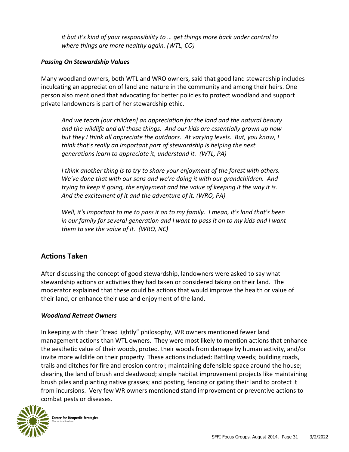*it but it's kind of your responsibility to … get things more back under control to where things are more healthy again. (WTL, CO)*

#### *Passing On Stewardship Values*

Many woodland owners, both WTL and WRO owners, said that good land stewardship includes inculcating an appreciation of land and nature in the community and among their heirs. One person also mentioned that advocating for better policies to protect woodland and support private landowners is part of her stewardship ethic.

*And we teach [our children] an appreciation for the land and the natural beauty and the wildlife and all those things. And our kids are essentially grown up now but they I think all appreciate the outdoors. At varying levels. But, you know, I think that's really an important part of stewardship is helping the next generations learn to appreciate it, understand it. (WTL, PA)*

*I think another thing is to try to share your enjoyment of the forest with others. We've done that with our sons and we're doing it with our grandchildren. And trying to keep it going, the enjoyment and the value of keeping it the way it is. And the excitement of it and the adventure of it. (WRO, PA)*

*Well, it's important to me to pass it on to my family. I mean, it's land that's been*  in our family for several generation and I want to pass it on to my kids and I want *them to see the value of it. (WRO, NC)*

#### **Actions Taken**

After discussing the concept of good stewardship, landowners were asked to say what stewardship actions or activities they had taken or considered taking on their land. The moderator explained that these could be actions that would improve the health or value of their land, or enhance their use and enjoyment of the land.

#### *Woodland Retreat Owners*

In keeping with their "tread lightly" philosophy, WR owners mentioned fewer land management actions than WTL owners. They were most likely to mention actions that enhance the aesthetic value of their woods, protect their woods from damage by human activity, and/or invite more wildlife on their property. These actions included: Battling weeds; building roads, trails and ditches for fire and erosion control; maintaining defensible space around the house; clearing the land of brush and deadwood; simple habitat improvement projects like maintaining brush piles and planting native grasses; and posting, fencing or gating their land to protect it from incursions. Very few WR owners mentioned stand improvement or preventive actions to combat pests or diseases.

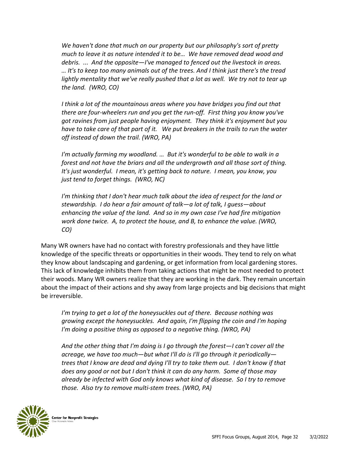*We haven't done that much on our property but our philosophy's sort of pretty much to leave it as nature intended it to be… We have removed dead wood and debris. ... And the opposite—I've managed to fenced out the livestock in areas. … It's to keep too many animals out of the trees. And I think just there's the tread*  lightly mentality that we've really pushed that a lot as well. We try not to tear up *the land. (WRO, CO)*

*I think a lot of the mountainous areas where you have bridges you find out that there are four-wheelers run and you get the run-off. First thing you know you've got ravines from just people having enjoyment. They think it's enjoyment but you have to take care of that part of it. We put breakers in the trails to run the water off instead of down the trail. (WRO, PA)*

*I'm actually farming my woodland. ... But it's wonderful to be able to walk in a forest and not have the briars and all the undergrowth and all those sort of thing. It's just wonderful. I mean, it's getting back to nature. I mean, you know, you just tend to forget things. (WRO, NC)*

*I'm thinking that I don't hear much talk about the idea of respect for the land or stewardship. I do hear a fair amount of talk—a lot of talk, I guess—about enhancing the value of the land. And so in my own case I've had fire mitigation work done twice. A, to protect the house, and B, to enhance the value. (WRO, CO)*

Many WR owners have had no contact with forestry professionals and they have little knowledge of the specific threats or opportunities in their woods. They tend to rely on what they know about landscaping and gardening, or get information from local gardening stores. This lack of knowledge inhibits them from taking actions that might be most needed to protect their woods. Many WR owners realize that they are working in the dark. They remain uncertain about the impact of their actions and shy away from large projects and big decisions that might be irreversible.

*I'm trying to get a lot of the honeysuckles out of there. Because nothing was growing except the honeysuckles. And again, I'm flipping the coin and I'm hoping I'm doing a positive thing as opposed to a negative thing. (WRO, PA)*

*And the other thing that I'm doing is I go through the forest—I can't cover all the acreage, we have too much—but what I'll do is I'll go through it periodically trees that I know are dead and dying I'll try to take them out. I don't know if that does any good or not but I don't think it can do any harm. Some of those may already be infected with God only knows what kind of disease. So I try to remove those. Also try to remove multi-stem trees. (WRO, PA)*

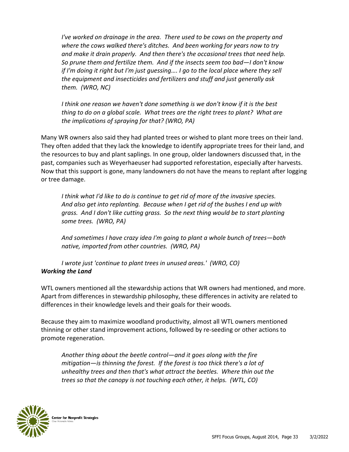*I've worked on drainage in the area. There used to be cows on the property and where the cows walked there's ditches. And been working for years now to try and make it drain properly. And then there's the occasional trees that need help. So prune them and fertilize them. And if the insects seem too bad—I don't know if I'm doing it right but I'm just guessing…. I go to the local place where they sell the equipment and insecticides and fertilizers and stuff and just generally ask them. (WRO, NC)*

*I think one reason we haven't done something is we don't know if it is the best thing to do on a global scale. What trees are the right trees to plant? What are the implications of spraying for that? (WRO, PA)*

Many WR owners also said they had planted trees or wished to plant more trees on their land. They often added that they lack the knowledge to identify appropriate trees for their land, and the resources to buy and plant saplings. In one group, older landowners discussed that, in the past, companies such as Weyerhaeuser had supported reforestation, especially after harvests. Now that this support is gone, many landowners do not have the means to replant after logging or tree damage.

*I think what I'd like to do is continue to get rid of more of the invasive species. And also get into replanting. Because when I get rid of the bushes I end up with grass. And I don't like cutting grass. So the next thing would be to start planting some trees. (WRO, PA)*

*And sometimes I have crazy idea I'm going to plant a whole bunch of trees—both native, imported from other countries. (WRO, PA)*

*I wrote just 'continue to plant trees in unused areas.' (WRO, CO) Working the Land*

WTL owners mentioned all the stewardship actions that WR owners had mentioned, and more. Apart from differences in stewardship philosophy, these differences in activity are related to differences in their knowledge levels and their goals for their woods.

Because they aim to maximize woodland productivity, almost all WTL owners mentioned thinning or other stand improvement actions, followed by re-seeding or other actions to promote regeneration.

*Another thing about the beetle control—and it goes along with the fire mitigation—is thinning the forest. If the forest is too thick there's a lot of unhealthy trees and then that's what attract the beetles. Where thin out the trees so that the canopy is not touching each other, it helps. (WTL, CO)*

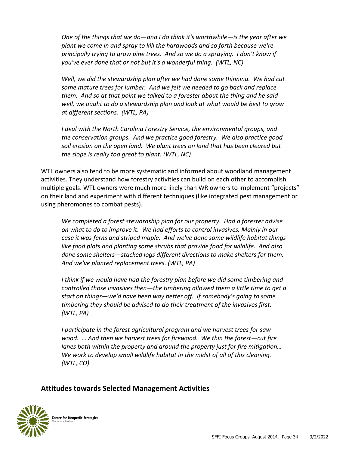*One of the things that we do—and I do think it's worthwhile—is the year after we plant we come in and spray to kill the hardwoods and so forth because we're principally trying to grow pine trees. And so we do a spraying. I don't know if you've ever done that or not but it's a wonderful thing. (WTL, NC)*

*Well, we did the stewardship plan after we had done some thinning. We had cut some mature trees for lumber. And we felt we needed to go back and replace them. And so at that point we talked to a forester about the thing and he said well, we ought to do a stewardship plan and look at what would be best to grow at different sections. (WTL, PA)*

*I deal with the North Carolina Forestry Service, the environmental groups, and the conservation groups. And we practice good forestry. We also practice good soil erosion on the open land. We plant trees on land that has been cleared but the slope is really too great to plant. (WTL, NC)*

WTL owners also tend to be more systematic and informed about woodland management activities. They understand how forestry activities can build on each other to accomplish multiple goals. WTL owners were much more likely than WR owners to implement "projects" on their land and experiment with different techniques (like integrated pest management or using pheromones to combat pests).

*We completed a forest stewardship plan for our property. Had a forester advise on what to do to improve it. We had efforts to control invasives. Mainly in our case it was ferns and striped maple. And we've done some wildlife habitat things like food plots and planting some shrubs that provide food for wildlife. And also done some shelters—stacked logs different directions to make shelters for them. And we've planted replacement trees. (WTL, PA)*

*I think if we would have had the forestry plan before we did some timbering and controlled those invasives then—the timbering allowed them a little time to get a start on things—we'd have been way better off. If somebody's going to some timbering they should be advised to do their treatment of the invasives first. (WTL, PA)*

*I participate in the forest agricultural program and we harvest trees for saw wood. … And then we harvest trees for firewood. We thin the forest—cut fire lanes both within the property and around the property just for fire mitigation… We work to develop small wildlife habitat in the midst of all of this cleaning. (WTL, CO)*

#### **Attitudes towards Selected Management Activities**

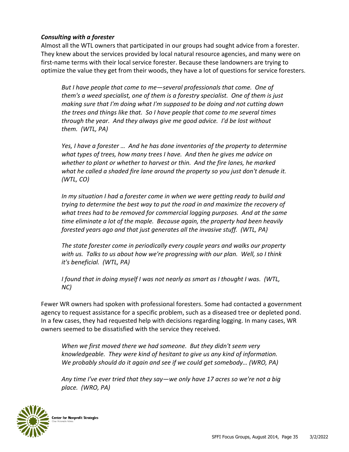#### *Consulting with a forester*

Almost all the WTL owners that participated in our groups had sought advice from a forester. They knew about the services provided by local natural resource agencies, and many were on first-name terms with their local service forester. Because these landowners are trying to optimize the value they get from their woods, they have a lot of questions for service foresters.

*But I have people that come to me—several professionals that come. One of them's a weed specialist, one of them is a forestry specialist. One of them is just making sure that I'm doing what I'm supposed to be doing and not cutting down the trees and things like that. So I have people that come to me several times through the year. And they always give me good advice. I'd be lost without them. (WTL, PA)*

*Yes, I have a forester … And he has done inventories of the property to determine what types of trees, how many trees I have. And then he gives me advice on whether to plant or whether to harvest or thin. And the fire lanes, he marked what he called a shaded fire lane around the property so you just don't denude it. (WTL, CO)*

In my situation I had a forester come in when we were getting ready to build and *trying to determine the best way to put the road in and maximize the recovery of what trees had to be removed for commercial logging purposes. And at the same time eliminate a lot of the maple. Because again, the property had been heavily forested years ago and that just generates all the invasive stuff. (WTL, PA)*

*The state forester come in periodically every couple years and walks our property with us. Talks to us about how we're progressing with our plan. Well, so I think it's beneficial. (WTL, PA)*

*I found that in doing myself I was not nearly as smart as I thought I was. (WTL, NC)*

Fewer WR owners had spoken with professional foresters. Some had contacted a government agency to request assistance for a specific problem, such as a diseased tree or depleted pond. In a few cases, they had requested help with decisions regarding logging. In many cases, WR owners seemed to be dissatisfied with the service they received.

*When we first moved there we had someone. But they didn't seem very knowledgeable. They were kind of hesitant to give us any kind of information. We probably should do it again and see if we could get somebody… (WRO, PA)*

*Any time I've ever tried that they say—we only have 17 acres so we're not a big place. (WRO, PA)*

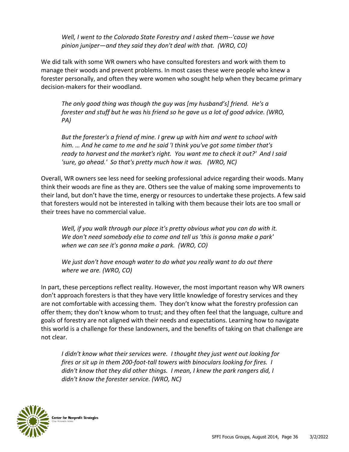*Well, I went to the Colorado State Forestry and I asked them--'cause we have pinion juniper—and they said they don't deal with that. (WRO, CO)*

We did talk with some WR owners who have consulted foresters and work with them to manage their woods and prevent problems. In most cases these were people who knew a forester personally, and often they were women who sought help when they became primary decision-makers for their woodland.

*The only good thing was though the guy was [my husband's] friend. He's a forester and stuff but he was his friend so he gave us a lot of good advice. (WRO, PA)*

*But the forester's a friend of mine. I grew up with him and went to school with him. … And he came to me and he said 'I think you've got some timber that's ready to harvest and the market's right. You want me to check it out?' And I said 'sure, go ahead.' So that's pretty much how it was. (WRO, NC)*

Overall, WR owners see less need for seeking professional advice regarding their woods. Many think their woods are fine as they are. Others see the value of making some improvements to their land, but don't have the time, energy or resources to undertake these projects. A few said that foresters would not be interested in talking with them because their lots are too small or their trees have no commercial value.

*Well, if you walk through our place it's pretty obvious what you can do with it. We don't need somebody else to come and tell us 'this is gonna make a park' when we can see it's gonna make a park. (WRO, CO)*

*We just don't have enough water to do what you really want to do out there where we are. (WRO, CO)*

In part, these perceptions reflect reality. However, the most important reason why WR owners don't approach foresters is that they have very little knowledge of forestry services and they are not comfortable with accessing them. They don't know what the forestry profession can offer them; they don't know whom to trust; and they often feel that the language, culture and goals of forestry are not aligned with their needs and expectations. Learning how to navigate this world is a challenge for these landowners, and the benefits of taking on that challenge are not clear.

*I didn't know what their services were. I thought they just went out looking for fires or sit up in them 200-foot-tall towers with binoculars looking for fires. I didn't know that they did other things. I mean, I knew the park rangers did, I didn't know the forester service. (WRO, NC)*

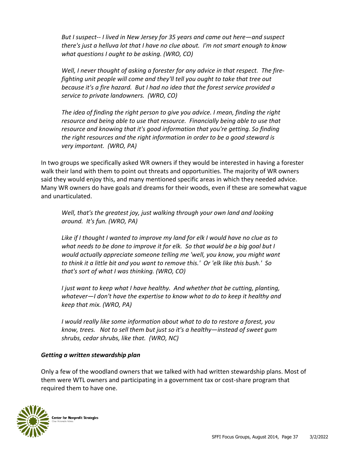*But I suspect-- I lived in New Jersey for 35 years and came out here—and suspect there's just a helluva lot that I have no clue about. I'm not smart enough to know what questions I ought to be asking. (WRO, CO)*

*Well, I never thought of asking a forester for any advice in that respect. The firefighting unit people will come and they'll tell you ought to take that tree out because it's a fire hazard. But I had no idea that the forest service provided a service to private landowners. (WRO, CO)*

*The idea of finding the right person to give you advice. I mean, finding the right resource and being able to use that resource. Financially being able to use that resource and knowing that it's good information that you're getting. So finding the right resources and the right information in order to be a good steward is very important. (WRO, PA)*

In two groups we specifically asked WR owners if they would be interested in having a forester walk their land with them to point out threats and opportunities. The majority of WR owners said they would enjoy this, and many mentioned specific areas in which they needed advice. Many WR owners do have goals and dreams for their woods, even if these are somewhat vague and unarticulated.

*Well, that's the greatest joy, just walking through your own land and looking around. It's fun. (WRO, PA)*

*Like if I thought I wanted to improve my land for elk I would have no clue as to what needs to be done to improve it for elk. So that would be a big goal but I would actually appreciate someone telling me 'well, you know, you might want to think it a little bit and you want to remove this.' Or 'elk like this bush.' So that's sort of what I was thinking. (WRO, CO)*

*I just want to keep what I have healthy. And whether that be cutting, planting, whatever—I don't have the expertise to know what to do to keep it healthy and keep that mix. (WRO, PA)*

*I would really like some information about what to do to restore a forest, you know, trees. Not to sell them but just so it's a healthy—instead of sweet gum shrubs, cedar shrubs, like that. (WRO, NC)*

#### *Getting a written stewardship plan*

Only a few of the woodland owners that we talked with had written stewardship plans. Most of them were WTL owners and participating in a government tax or cost-share program that required them to have one.

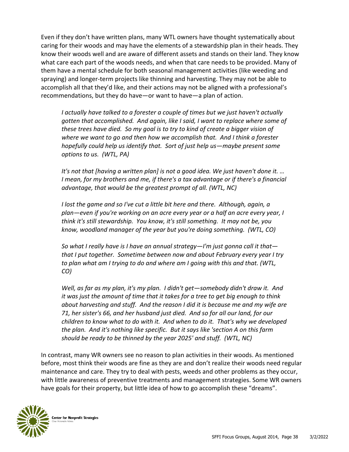Even if they don't have written plans, many WTL owners have thought systematically about caring for their woods and may have the elements of a stewardship plan in their heads. They know their woods well and are aware of different assets and stands on their land. They know what care each part of the woods needs, and when that care needs to be provided. Many of them have a mental schedule for both seasonal management activities (like weeding and spraying) and longer-term projects like thinning and harvesting. They may not be able to accomplish all that they'd like, and their actions may not be aligned with a professional's recommendations, but they do have—or want to have—a plan of action.

*I actually have talked to a forester a couple of times but we just haven't actually gotten that accomplished. And again, like I said, I want to replace where some of these trees have died. So my goal is to try to kind of create a bigger vision of where we want to go and then how we accomplish that. And I think a forester hopefully could help us identify that. Sort of just help us—maybe present some options to us. (WTL, PA)*

*It's not that [having a written plan] is not a good idea. We just haven't done it. … I* mean, for my brothers and me, if there's a tax advantage or if there's a financial *advantage, that would be the greatest prompt of all. (WTL, NC)*

*I lost the game and so I've cut a little bit here and there. Although, again, a plan—even if you're working on an acre every year or a half an acre every year, I think it's still stewardship. You know, it's still something. It may not be, you know, woodland manager of the year but you're doing something. (WTL, CO)*

*So what I really have is I have an annual strategy—I'm just gonna call it that that I put together. Sometime between now and about February every year I try to plan what am I trying to do and where am I going with this and that. (WTL, CO)*

*Well, as far as my plan, it's my plan. I didn't get—somebody didn't draw it. And it was just the amount of time that it takes for a tree to get big enough to think about harvesting and stuff. And the reason I did it is because me and my wife are 71, her sister's 66, and her husband just died. And so for all our land, for our children to know what to do with it. And when to do it. That's why we developed the plan. And it's nothing like specific. But it says like 'section A on this farm should be ready to be thinned by the year 2025' and stuff. (WTL, NC)*

In contrast, many WR owners see no reason to plan activities in their woods. As mentioned before, most think their woods are fine as they are and don't realize their woods need regular maintenance and care. They try to deal with pests, weeds and other problems as they occur, with little awareness of preventive treatments and management strategies. Some WR owners have goals for their property, but little idea of how to go accomplish these "dreams".

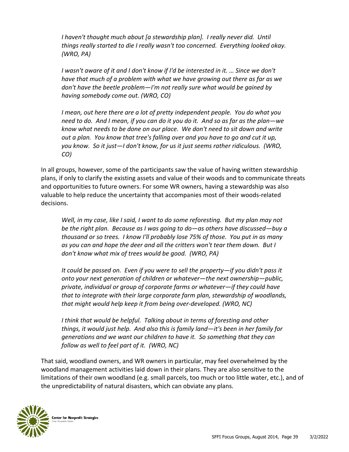*I haven't thought much about [a stewardship plan]. I really never did. Until things really started to die I really wasn't too concerned. Everything looked okay. (WRO, PA)*

*I wasn't aware of it and I don't know if I'd be interested in it. … Since we don't have that much of a problem with what we have growing out there as far as we don't have the beetle problem—I'm not really sure what would be gained by having somebody come out. (WRO, CO)*

*I mean, out here there are a lot of pretty independent people. You do what you need to do. And I mean, if you can do it you do it. And so as far as the plan—we know what needs to be done on our place. We don't need to sit down and write out a plan. You know that tree's falling over and you have to go and cut it up, you know. So it just—I don't know, for us it just seems rather ridiculous. (WRO, CO)*

In all groups, however, some of the participants saw the value of having written stewardship plans, if only to clarify the existing assets and value of their woods and to communicate threats and opportunities to future owners. For some WR owners, having a stewardship was also valuable to help reduce the uncertainty that accompanies most of their woods-related decisions.

*Well, in my case, like I said, I want to do some reforesting. But my plan may not be the right plan. Because as I was going to do—as others have discussed—buy a thousand or so trees. I know I'll probably lose 75% of those. You put in as many as you can and hope the deer and all the critters won't tear them down. But I don't know what mix of trees would be good. (WRO, PA)*

*It could be passed on. Even if you were to sell the property—if you didn't pass it onto your next generation of children or whatever—the next ownership—public, private, individual or group of corporate farms or whatever—if they could have that to integrate with their large corporate farm plan, stewardship of woodlands, that might would help keep it from being over-developed. (WRO, NC)*

*I think that would be helpful. Talking about in terms of foresting and other things, it would just help. And also this is family land—it's been in her family for generations and we want our children to have it. So something that they can follow as well to feel part of it. (WRO, NC)*

That said, woodland owners, and WR owners in particular, may feel overwhelmed by the woodland management activities laid down in their plans. They are also sensitive to the limitations of their own woodland (e.g. small parcels, too much or too little water, etc.), and of the unpredictability of natural disasters, which can obviate any plans.

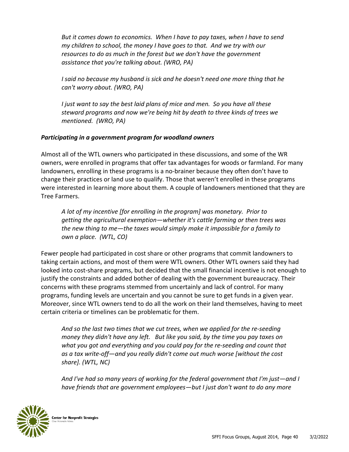*But it comes down to economics. When I have to pay taxes, when I have to send my children to school, the money I have goes to that. And we try with our resources to do as much in the forest but we don't have the government assistance that you're talking about. (WRO, PA)*

*I said no because my husband is sick and he doesn't need one more thing that he can't worry about. (WRO, PA)*

*I just want to say the best laid plans of mice and men. So you have all these steward programs and now we're being hit by death to three kinds of trees we mentioned. (WRO, PA)*

#### *Participating in a government program for woodland owners*

Almost all of the WTL owners who participated in these discussions, and some of the WR owners, were enrolled in programs that offer tax advantages for woods or farmland. For many landowners, enrolling in these programs is a no-brainer because they often don't have to change their practices or land use to qualify. Those that weren't enrolled in these programs were interested in learning more about them. A couple of landowners mentioned that they are Tree Farmers.

*A lot of my incentive [for enrolling in the program] was monetary. Prior to getting the agricultural exemption—whether it's cattle farming or then trees was the new thing to me—the taxes would simply make it impossible for a family to own a place. (WTL, CO)*

Fewer people had participated in cost share or other programs that commit landowners to taking certain actions, and most of them were WTL owners. Other WTL owners said they had looked into cost-share programs, but decided that the small financial incentive is not enough to justify the constraints and added bother of dealing with the government bureaucracy. Their concerns with these programs stemmed from uncertainly and lack of control. For many programs, funding levels are uncertain and you cannot be sure to get funds in a given year. Moreover, since WTL owners tend to do all the work on their land themselves, having to meet certain criteria or timelines can be problematic for them.

*And so the last two times that we cut trees, when we applied for the re-seeding money they didn't have any left. But like you said, by the time you pay taxes on what you got and everything and you could pay for the re-seeding and count that as a tax write-off—and you really didn't come out much worse [without the cost share]. (WTL, NC)*

*And I've had so many years of working for the federal government that I'm just—and I have friends that are government employees—but I just don't want to do any more* 

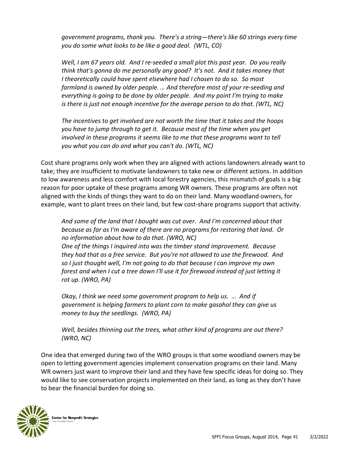*government programs, thank you. There's a string—there's like 60 strings every time you do some what looks to be like a good deal. (WTL, CO)*

*Well, I am 67 years old. And I re-seeded a small plot this past year. Do you really think that's gonna do me personally any good? It's not. And it takes money that I theoretically could have spent elsewhere had I chosen to do so. So most farmland is owned by older people. … And therefore most of your re-seeding and everything is going to be done by older people. And my point I'm trying to make is there is just not enough incentive for the average person to do that. (WTL, NC)*

*The incentives to get involved are not worth the time that it takes and the hoops you have to jump through to get it. Because most of the time when you get involved in these programs it seems like to me that these programs want to tell you what you can do and what you can't do. (WTL, NC)*

Cost share programs only work when they are aligned with actions landowners already want to take; they are insufficient to motivate landowners to take new or different actions. In addition to low awareness and less comfort with local forestry agencies, this mismatch of goals is a big reason for poor uptake of these programs among WR owners. These programs are often not aligned with the kinds of things they want to do on their land. Many woodland owners, for example, want to plant trees on their land, but few cost-share programs support that activity.

*And some of the land that I bought was cut over. And I'm concerned about that because as far as I'm aware of there are no programs for restoring that land. Or no information about how to do that. (WRO, NC) One of the things I inquired into was the timber stand improvement. Because they had that as a free service. But you're not allowed to use the firewood. And so I just thought well, I'm not going to do that because I can improve my own forest and when I cut a tree down I'll use it for firewood instead of just letting it rot up. (WRO, PA)*

*Okay, I think we need some government program to help us. … And if government is helping farmers to plant corn to make gasahol they can give us money to buy the seedlings. (WRO, PA)*

*Well, besides thinning out the trees, what other kind of programs are out there? (WRO, NC)*

One idea that emerged during two of the WRO groups is that some woodland owners may be open to letting government agencies implement conservation programs on their land. Many WR owners just want to improve their land and they have few specific ideas for doing so. They would like to see conservation projects implemented on their land, as long as they don't have to bear the financial burden for doing so.

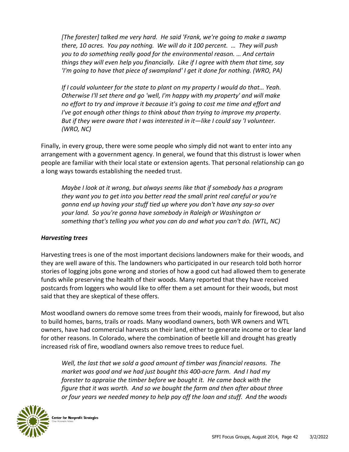*[The forester] talked me very hard. He said 'Frank, we're going to make a swamp there, 10 acres. You pay nothing. We will do it 100 percent. … They will push you to do something really good for the environmental reason. … And certain things they will even help you financially. Like if I agree with them that time, say 'I'm going to have that piece of swampland' I get it done for nothing. (WRO, PA)*

*If I could volunteer for the state to plant on my property I would do that… Yeah. Otherwise I'll set there and go 'well, I'm happy with my property' and will make no effort to try and improve it because it's going to cost me time and effort and I've got enough other things to think about than trying to improve my property. But if they were aware that I was interested in it—like I could say 'I volunteer. (WRO, NC)*

Finally, in every group, there were some people who simply did not want to enter into any arrangement with a government agency. In general, we found that this distrust is lower when people are familiar with their local state or extension agents. That personal relationship can go a long ways towards establishing the needed trust.

*Maybe I look at it wrong, but always seems like that if somebody has a program they want you to get into you better read the small print real careful or you're gonna end up having your stuff tied up where you don't have any say-so over your land. So you're gonna have somebody in Raleigh or Washington or something that's telling you what you can do and what you can't do. (WTL, NC)*

#### *Harvesting trees*

Harvesting trees is one of the most important decisions landowners make for their woods, and they are well aware of this. The landowners who participated in our research told both horror stories of logging jobs gone wrong and stories of how a good cut had allowed them to generate funds while preserving the health of their woods. Many reported that they have received postcards from loggers who would like to offer them a set amount for their woods, but most said that they are skeptical of these offers.

Most woodland owners do remove some trees from their woods, mainly for firewood, but also to build homes, barns, trails or roads. Many woodland owners, both WR owners and WTL owners, have had commercial harvests on their land, either to generate income or to clear land for other reasons. In Colorado, where the combination of beetle kill and drought has greatly increased risk of fire, woodland owners also remove trees to reduce fuel.

*Well, the last that we sold a good amount of timber was financial reasons. The market was good and we had just bought this 400-acre farm. And I had my forester to appraise the timber before we bought it. He came back with the figure that it was worth. And so we bought the farm and then after about three or four years we needed money to help pay off the loan and stuff. And the woods* 

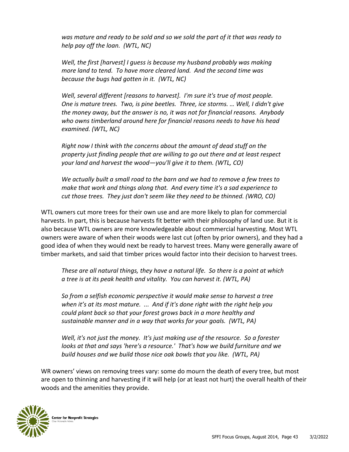*was mature and ready to be sold and so we sold the part of it that was ready to help pay off the loan. (WTL, NC)*

*Well, the first [harvest] I guess is because my husband probably was making more land to tend. To have more cleared land. And the second time was because the bugs had gotten in it. (WTL, NC)*

*Well, several different [reasons to harvest]. I'm sure it's true of most people. One is mature trees. Two, is pine beetles. Three, ice storms. … Well, I didn't give the money away, but the answer is no, it was not for financial reasons. Anybody who owns timberland around here for financial reasons needs to have his head examined. (WTL, NC)*

*Right now I think with the concerns about the amount of dead stuff on the property just finding people that are willing to go out there and at least respect your land and harvest the wood—you'll give it to them. (WTL, CO)*

*We actually built a small road to the barn and we had to remove a few trees to make that work and things along that. And every time it's a sad experience to cut those trees. They just don't seem like they need to be thinned. (WRO, CO)*

WTL owners cut more trees for their own use and are more likely to plan for commercial harvests. In part, this is because harvests fit better with their philosophy of land use. But it is also because WTL owners are more knowledgeable about commercial harvesting. Most WTL owners were aware of when their woods were last cut (often by prior owners), and they had a good idea of when they would next be ready to harvest trees. Many were generally aware of timber markets, and said that timber prices would factor into their decision to harvest trees.

*These are all natural things, they have a natural life. So there is a point at which a tree is at its peak health and vitality. You can harvest it. (WTL, PA)*

*So from a selfish economic perspective it would make sense to harvest a tree when it's at its most mature. ... And if it's done right with the right help you could plant back so that your forest grows back in a more healthy and sustainable manner and in a way that works for your goals. (WTL, PA)*

*Well, it's not just the money. It's just making use of the resource. So a forester looks at that and says 'here's a resource.' That's how we build furniture and we build houses and we build those nice oak bowls that you like. (WTL, PA)*

WR owners' views on removing trees vary: some do mourn the death of every tree, but most are open to thinning and harvesting if it will help (or at least not hurt) the overall health of their woods and the amenities they provide.

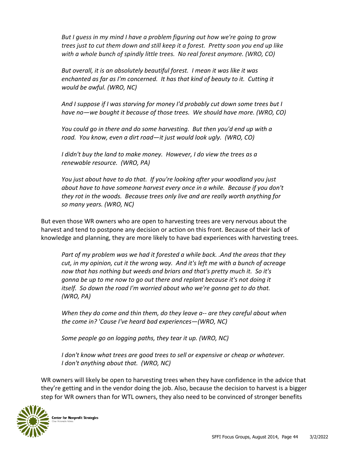*But I guess in my mind I have a problem figuring out how we're going to grow trees just to cut them down and still keep it a forest. Pretty soon you end up like with a whole bunch of spindly little trees. No real forest anymore. (WRO, CO)*

*But overall, it is an absolutely beautiful forest. I mean it was like it was enchanted as far as I'm concerned. It has that kind of beauty to it. Cutting it would be awful. (WRO, NC)*

*And I suppose if I was starving for money I'd probably cut down some trees but I have no—we bought it because of those trees. We should have more. (WRO, CO)*

*You could go in there and do some harvesting. But then you'd end up with a road. You know, even a dirt road—it just would look ugly. (WRO, CO)*

*I didn't buy the land to make money. However, I do view the trees as a renewable resource. (WRO, PA)*

*You just about have to do that. If you're looking after your woodland you just about have to have someone harvest every once in a while. Because if you don't they rot in the woods. Because trees only live and are really worth anything for so many years. (WRO, NC)*

But even those WR owners who are open to harvesting trees are very nervous about the harvest and tend to postpone any decision or action on this front. Because of their lack of knowledge and planning, they are more likely to have bad experiences with harvesting trees.

*Part of my problem was we had it forested a while back. .And the areas that they cut, in my opinion, cut it the wrong way. And it's left me with a bunch of acreage now that has nothing but weeds and briars and that's pretty much it. So it's gonna be up to me now to go out there and replant because it's not doing it itself. So down the road I'm worried about who we're gonna get to do that. (WRO, PA)*

*When they do come and thin them, do they leave a-- are they careful about when the come in? 'Cause I've heard bad experiences—(WRO, NC)*

*Some people go on logging paths, they tear it up. (WRO, NC)*

*I don't know what trees are good trees to sell or expensive or cheap or whatever. I don't anything about that. (WRO, NC)*

WR owners will likely be open to harvesting trees when they have confidence in the advice that they're getting and in the vendor doing the job. Also, because the decision to harvest is a bigger step for WR owners than for WTL owners, they also need to be convinced of stronger benefits

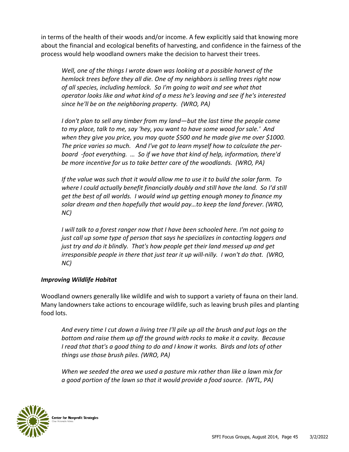in terms of the health of their woods and/or income. A few explicitly said that knowing more about the financial and ecological benefits of harvesting, and confidence in the fairness of the process would help woodland owners make the decision to harvest their trees.

*Well, one of the things I wrote down was looking at a possible harvest of the hemlock trees before they all die. One of my neighbors is selling trees right now of all species, including hemlock. So I'm going to wait and see what that operator looks like and what kind of a mess he's leaving and see if he's interested since he'll be on the neighboring property. (WRO, PA)*

*I don't plan to sell any timber from my land—but the last time the people come to my place, talk to me, say 'hey, you want to have some wood for sale.' And when they give you price, you may quote \$500 and he made give me over \$1000. The price varies so much. And I've got to learn myself how to calculate the perboard -foot everything. … So if we have that kind of help, information, there'd be more incentive for us to take better care of the woodlands. (WRO, PA)*

*If the value was such that it would allow me to use it to build the solar farm. To where I could actually benefit financially doubly and still have the land. So I'd still get the best of all worlds. I would wind up getting enough money to finance my solar dream and then hopefully that would pay…to keep the land forever. (WRO, NC)*

*I* will talk to a forest ranger now that *I* have been schooled here. I'm not going to *just call up some type of person that says he specializes in contacting loggers and just try and do it blindly. That's how people get their land messed up and get irresponsible people in there that just tear it up will-nilly. I won't do that. (WRO, NC)*

#### *Improving Wildlife Habitat*

Woodland owners generally like wildlife and wish to support a variety of fauna on their land. Many landowners take actions to encourage wildlife, such as leaving brush piles and planting food lots.

*And every time I cut down a living tree I'll pile up all the brush and put logs on the bottom and raise them up off the ground with rocks to make it a cavity. Because I read that that's a good thing to do and I know it works. Birds and lots of other things use those brush piles. (WRO, PA)*

*When we seeded the area we used a pasture mix rather than like a lawn mix for a good portion of the lawn so that it would provide a food source. (WTL, PA)*

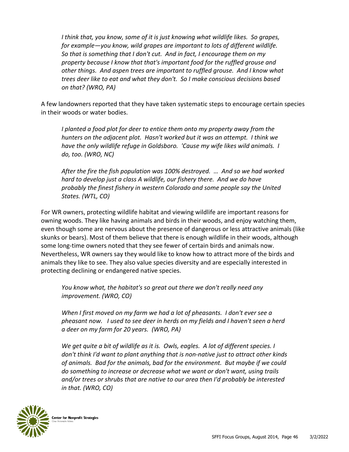*I think that, you know, some of it is just knowing what wildlife likes. So grapes, for example—you know, wild grapes are important to lots of different wildlife. So that is something that I don't cut. And in fact, I encourage them on my property because I know that that's important food for the ruffled grouse and other things. And aspen trees are important to ruffled grouse. And I know what trees deer like to eat and what they don't. So I make conscious decisions based on that? (WRO, PA)*

A few landowners reported that they have taken systematic steps to encourage certain species in their woods or water bodies.

*I planted a food plot for deer to entice them onto my property away from the hunters on the adjacent plot. Hasn't worked but it was an attempt. I think we have the only wildlife refuge in Goldsboro. 'Cause my wife likes wild animals. I do, too. (WRO, NC)*

*After the fire the fish population was 100% destroyed. … And so we had worked hard to develop just a class A wildlife, our fishery there. And we do have probably the finest fishery in western Colorado and some people say the United States. (WTL, CO)*

For WR owners, protecting wildlife habitat and viewing wildlife are important reasons for owning woods. They like having animals and birds in their woods, and enjoy watching them, even though some are nervous about the presence of dangerous or less attractive animals (like skunks or bears). Most of them believe that there is enough wildlife in their woods, although some long-time owners noted that they see fewer of certain birds and animals now. Nevertheless, WR owners say they would like to know how to attract more of the birds and animals they like to see. They also value species diversity and are especially interested in protecting declining or endangered native species.

*You know what, the habitat's so great out there we don't really need any improvement. (WRO, CO)*

*When I first moved on my farm we had a lot of pheasants. I don't ever see a pheasant now. I used to see deer in herds on my fields and I haven't seen a herd a deer on my farm for 20 years. (WRO, PA)*

*We get quite a bit of wildlife as it is. Owls, eagles. A lot of different species. I don't think I'd want to plant anything that is non-native just to attract other kinds of animals. Bad for the animals, bad for the environment. But maybe if we could do something to increase or decrease what we want or don't want, using trails and/or trees or shrubs that are native to our area then I'd probably be interested in that. (WRO, CO)*

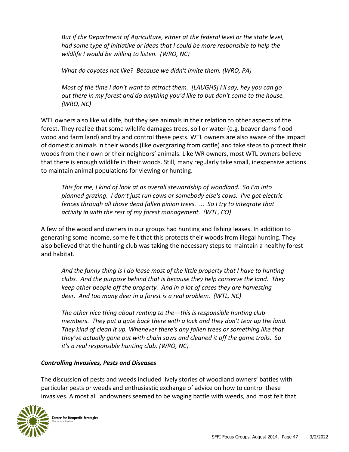*But if the Department of Agriculture, either at the federal level or the state level, had some type of initiative or ideas that I could be more responsible to help the wildlife I would be willing to listen. (WRO, NC)*

*What do coyotes not like? Because we didn't invite them. (WRO, PA)*

*Most of the time I don't want to attract them. [LAUGHS] I'll say, hey you can go out there in my forest and do anything you'd like to but don't come to the house. (WRO, NC)*

WTL owners also like wildlife, but they see animals in their relation to other aspects of the forest. They realize that some wildlife damages trees, soil or water (e.g. beaver dams flood wood and farm land) and try and control these pests. WTL owners are also aware of the impact of domestic animals in their woods (like overgrazing from cattle) and take steps to protect their woods from their own or their neighbors' animals. Like WR owners, most WTL owners believe that there is enough wildlife in their woods. Still, many regularly take small, inexpensive actions to maintain animal populations for viewing or hunting.

*This for me, I kind of look at as overall stewardship of woodland. So I'm into planned grazing. I don't just run cows or somebody else's cows. I've got electric fences through all those dead fallen pinion trees. ... So I try to integrate that activity in with the rest of my forest management. (WTL, CO)*

A few of the woodland owners in our groups had hunting and fishing leases. In addition to generating some income, some felt that this protects their woods from illegal hunting. They also believed that the hunting club was taking the necessary steps to maintain a healthy forest and habitat.

*And the funny thing is I do lease most of the little property that I have to hunting clubs. And the purpose behind that is because they help conserve the land. They keep other people off the property. And in a lot of cases they are harvesting deer. And too many deer in a forest is a real problem. (WTL, NC)*

*The other nice thing about renting to the—this is responsible hunting club members. They put a gate back there with a lock and they don't tear up the land. They kind of clean it up. Whenever there's any fallen trees or something like that they've actually gone out with chain saws and cleaned it off the game trails. So it's a real responsible hunting club. (WRO, NC)*

#### *Controlling Invasives, Pests and Diseases*

The discussion of pests and weeds included lively stories of woodland owners' battles with particular pests or weeds and enthusiastic exchange of advice on how to control these invasives. Almost all landowners seemed to be waging battle with weeds, and most felt that

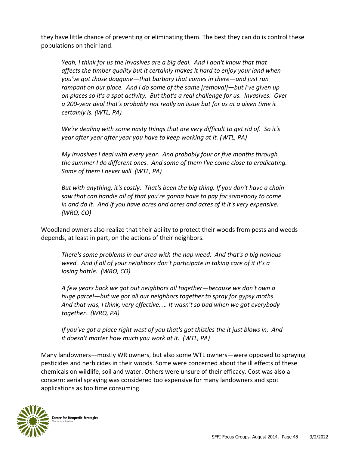they have little chance of preventing or eliminating them. The best they can do is control these populations on their land.

*Yeah, I think for us the invasives are a big deal. And I don't know that that affects the timber quality but it certainly makes it hard to enjoy your land when you've got those doggone—that barbary that comes in there—and just run rampant on our place. And I do some of the same [removal]—but I've given up on places so it's a spot activity. But that's a real challenge for us. Invasives. Over a 200-year deal that's probably not really an issue but for us at a given time it certainly is. (WTL, PA)*

*We're dealing with some nasty things that are very difficult to get rid of. So it's year after year after year you have to keep working at it. (WTL, PA)*

*My invasives I deal with every year. And probably four or five months through the summer I do different ones. And some of them I've come close to eradicating. Some of them I never will. (WTL, PA)*

*But with anything, it's costly. That's been the big thing. If you don't have a chain saw that can handle all of that you're gonna have to pay for somebody to come in and do it. And if you have acres and acres and acres of it it's very expensive. (WRO, CO)*

Woodland owners also realize that their ability to protect their woods from pests and weeds depends, at least in part, on the actions of their neighbors.

*There's some problems in our area with the nap weed. And that's a big noxious weed. And if all of your neighbors don't participate in taking care of it it's a losing battle. (WRO, CO)*

*A few years back we got out neighbors all together—because we don't own a huge parcel—but we got all our neighbors together to spray for gypsy moths. And that was, I think, very effective. … It wasn't so bad when we got everybody together. (WRO, PA)*

*If you've got a place right west of you that's got thistles the it just blows in. And it doesn't matter how much you work at it. (WTL, PA)*

Many landowners—mostly WR owners, but also some WTL owners—were opposed to spraying pesticides and herbicides in their woods. Some were concerned about the ill effects of these chemicals on wildlife, soil and water. Others were unsure of their efficacy. Cost was also a concern: aerial spraying was considered too expensive for many landowners and spot applications as too time consuming.

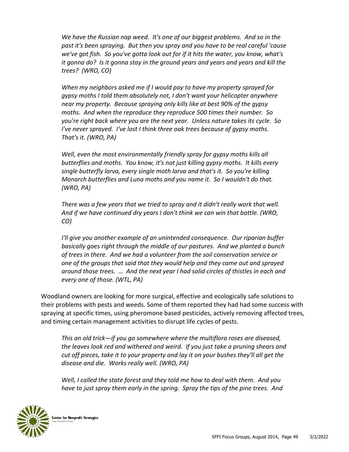*We have the Russian nap weed. It's one of our biggest problems. And so in the past it's been spraying. But then you spray and you have to be real careful 'cause we've got fish. So you've gotta look out for if it hits the water, you know, what's it gonna do? Is it gonna stay in the ground years and years and years and kill the trees? (WRO, CO)*

*When my neighbors asked me if I would pay to have my property sprayed for gypsy moths I told them absolutely not, I don't want your helicopter anywhere near my property. Because spraying only kills like at best 90% of the gypsy moths. And when the reproduce they reproduce 500 times their number. So you're right back where you are the next year. Unless nature takes its cycle. So I've never sprayed. I've lost I think three oak trees because of gypsy moths. That's it. (WRO, PA)*

*Well, even the most environmentally friendly spray for gypsy moths kills all butterflies and moths. You know, it's not just killing gypsy moths. It kills every single butterfly larva, every single moth larva and that's it. So you're killing Monarch butterflies and Luna moths and you name it. So I wouldn't do that. (WRO, PA)*

*There was a few years that we tried to spray and it didn't really work that well. And if we have continued dry years I don't think we can win that battle. (WRO, CO)*

*I'll give you another example of an unintended consequence. Our riparian buffer basically goes right through the middle of our pastures. And we planted a bunch of trees in there. And we had a volunteer from the soil conservation service or one of the groups that said that they would help and they came out and sprayed around those trees. … And the next year I had solid circles of thistles in each and every one of those. (WTL, PA)* 

Woodland owners are looking for more surgical, effective and ecologically safe solutions to their problems with pests and weeds. Some of them reported they had had some success with spraying at specific times, using pheromone based pesticides, actively removing affected trees, and timing certain management activities to disrupt life cycles of pests.

*This an old trick—if you go somewhere where the multiflora roses are diseased, the leaves look red and withered and weird. If you just take a pruning shears and cut off pieces, take it to your property and lay it on your bushes they'll all get the disease and die. Works really well. (WRO, PA)*

*Well, I called the state forest and they told me how to deal with them. And you have to just spray them early in the spring. Spray the tips of the pine trees. And* 

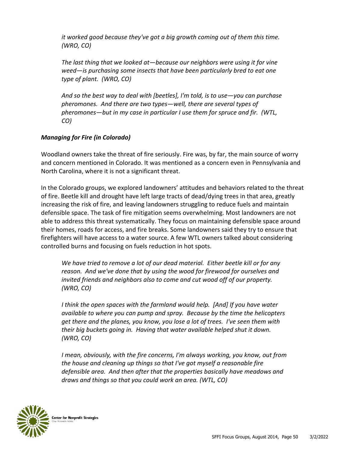*it worked good because they've got a big growth coming out of them this time. (WRO, CO)*

*The last thing that we looked at—because our neighbors were using it for vine weed—is purchasing some insects that have been particularly bred to eat one type of plant. (WRO, CO)*

*And so the best way to deal with [beetles], I'm told, is to use—you can purchase pheromones. And there are two types—well, there are several types of pheromones—but in my case in particular I use them for spruce and fir. (WTL, CO)*

#### *Managing for Fire (in Colorado)*

Woodland owners take the threat of fire seriously. Fire was, by far, the main source of worry and concern mentioned in Colorado. It was mentioned as a concern even in Pennsylvania and North Carolina, where it is not a significant threat.

In the Colorado groups, we explored landowners' attitudes and behaviors related to the threat of fire. Beetle kill and drought have left large tracts of dead/dying trees in that area, greatly increasing the risk of fire, and leaving landowners struggling to reduce fuels and maintain defensible space. The task of fire mitigation seems overwhelming. Most landowners are not able to address this threat systematically. They focus on maintaining defensible space around their homes, roads for access, and fire breaks. Some landowners said they try to ensure that firefighters will have access to a water source. A few WTL owners talked about considering controlled burns and focusing on fuels reduction in hot spots.

*We have tried to remove a lot of our dead material. Either beetle kill or for any reason. And we've done that by using the wood for firewood for ourselves and invited friends and neighbors also to come and cut wood off of our property. (WRO, CO)*

*I think the open spaces with the farmland would help. [And] If you have water available to where you can pump and spray. Because by the time the helicopters get there and the planes, you know, you lose a lot of trees. I've seen them with their big buckets going in. Having that water available helped shut it down. (WRO, CO)*

*I mean, obviously, with the fire concerns, I'm always working, you know, out from the house and cleaning up things so that I've got myself a reasonable fire defensible area. And then after that the properties basically have meadows and draws and things so that you could work an area. (WTL, CO)*

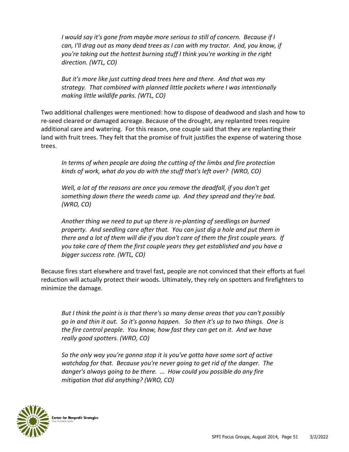*I* would say it's gone from maybe more serious to still of concern. Because if I *can, I'll drag out as many dead trees as I can with my tractor. And, you know, if you're taking out the hottest burning stuff I think you're working in the right direction. (WTL, CO)*

*But it's more like just cutting dead trees here and there. And that was my strategy. That combined with planned little pockets where I was intentionally making little wildlife parks. (WTL, CO)*

Two additional challenges were mentioned: how to dispose of deadwood and slash and how to re-seed cleared or damaged acreage. Because of the drought, any replanted trees require additional care and watering. For this reason, one couple said that they are replanting their land with fruit trees. They felt that the promise of fruit justifies the expense of watering those trees.

*In terms of when people are doing the cutting of the limbs and fire protection kinds of work, what do you do with the stuff that's left over? (WRO, CO)*

*Well, a lot of the reasons are once you remove the deadfall, if you don't get something down there the weeds come up. And they spread and they're bad. (WRO, CO)*

*Another thing we need to put up there is re-planting of seedlings on burned property. And seedling care after that. You can just dig a hole and put them in there and a lot of them will die if you don't care of them the first couple years. If you take care of them the first couple years they get established and you have a bigger success rate. (WTL, CO)*

Because fires start elsewhere and travel fast, people are not convinced that their efforts at fuel reduction will actually protect their woods. Ultimately, they rely on spotters and firefighters to minimize the damage.

*But I think the point is is that there's so many dense areas that you can't possibly go in and thin it out. So it's gonna happen. So then it's up to two things. One is the fire control people. You know, how fast they can get on it. And we have really good spotters. (WRO, CO)*

*So the only way you're gonna stop it is you've gotta have some sort of active watchdog for that. Because you're never going to get rid of the danger. The danger's always going to be there. … How could you possible do any fire mitigation that did anything? (WRO, CO)*

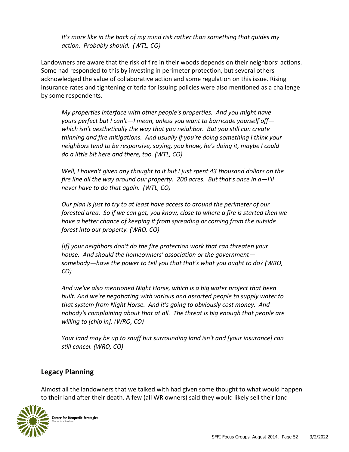*It's more like in the back of my mind risk rather than something that guides my action. Probably should. (WTL, CO)*

Landowners are aware that the risk of fire in their woods depends on their neighbors' actions. Some had responded to this by investing in perimeter protection, but several others acknowledged the value of collaborative action and some regulation on this issue. Rising insurance rates and tightening criteria for issuing policies were also mentioned as a challenge by some respondents.

*My properties interface with other people's properties. And you might have yours perfect but I can't—I mean, unless you want to barricade yourself off which isn't aesthetically the way that you neighbor. But you still can create thinning and fire mitigations. And usually if you're doing something I think your neighbors tend to be responsive, saying, you know, he's doing it, maybe I could do a little bit here and there, too. (WTL, CO)*

*Well, I haven't given any thought to it but I just spent 43 thousand dollars on the fire line all the way around our property. 200 acres. But that's once in a—I'll never have to do that again. (WTL, CO)*

*Our plan is just to try to at least have access to around the perimeter of our forested area. So if we can get, you know, close to where a fire is started then we have a better chance of keeping it from spreading or coming from the outside forest into our property. (WRO, CO)*

*[If] your neighbors don't do the fire protection work that can threaten your house. And should the homeowners' association or the government somebody—have the power to tell you that that's what you ought to do? (WRO, CO)*

*And we've also mentioned Night Horse, which is a big water project that been built. And we're negotiating with various and assorted people to supply water to that system from Night Horse. And it's going to obviously cost money. And nobody's complaining about that at all. The threat is big enough that people are willing to [chip in]. (WRO, CO)*

*Your land may be up to snuff but surrounding land isn't and [your insurance] can still cancel. (WRO, CO)*

#### **Legacy Planning**

Almost all the landowners that we talked with had given some thought to what would happen to their land after their death. A few (all WR owners) said they would likely sell their land

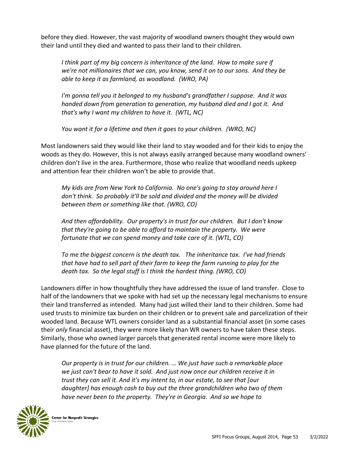before they died. However, the vast majority of woodland owners thought they would own their land until they died and wanted to pass their land to their children.

*I think part of my big concern is inheritance of the land. How to make sure if we're not millionaires that we can, you know, send it on to our sons. And they be able to keep it as farmland, as woodland. (WRO, PA)*

*I'm gonna tell you it belonged to my husband's grandfather I suppose. And it was handed down from generation to generation, my husband died and I got it. And that's why I want my children to have it. (WTL, NC)*

*You want it for a lifetime and then it goes to your children. (WRO, NC)*

Most landowners said they would like their land to stay wooded and for their kids to enjoy the woods as they do. However, this is not always easily arranged because many woodland owners' children don't live in the area. Furthermore, those who realize that woodland needs upkeep and attention fear their children won't be able to provide that.

*My kids are from New York to California. No one's going to stay around here I don't think. So probably it'll be sold and divided and the money will be divided between them or something like that. (WRO, CO)*

*And then affordability. Our property's in trust for our children. But I don't know that they're going to be able to afford to maintain the property. We were fortunate that we can spend money and take care of it. (WTL, CO)*

*To me the biggest concern is the death tax. The inheritance tax. I've had friends that have had to sell part of their farm to keep the farm running to play for the death tax. So the legal stuff is I think the hardest thing. (WRO, CO)*

Landowners differ in how thoughtfully they have addressed the issue of land transfer. Close to half of the landowners that we spoke with had set up the necessary legal mechanisms to ensure their land transferred as intended. Many had just willed their land to their children. Some had used trusts to minimize tax burden on their children or to prevent sale and parcelization of their wooded land. Because WTL owners consider land as a substantial financial asset (in some cases their *only* financial asset), they were more likely than WR owners to have taken these steps. Similarly, those who owned larger parcels that generated rental income were more likely to have planned for the future of the land.

*Our property is in trust for our children. … We just have such a remarkable place we just can't bear to have it sold. And just now once our children receive it in trust they can sell it. And it's my intent to, in our estate, to see that [our daughter] has enough cash to buy out the three grandchildren who two of them have never been to the property. They're in Georgia. And so we hope to* 

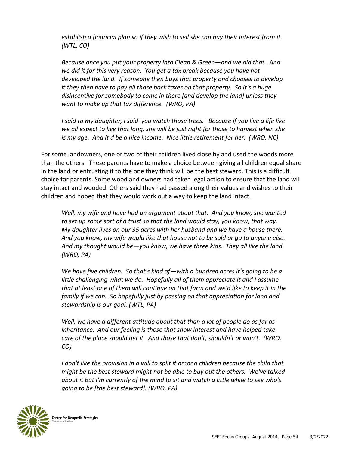*establish a financial plan so if they wish to sell she can buy their interest from it. (WTL, CO)*

*Because once you put your property into Clean & Green—and we did that. And we did it for this very reason. You get a tax break because you have not developed the land. If someone then buys that property and chooses to develop it they then have to pay all those back taxes on that property. So it's a huge disincentive for somebody to come in there [and develop the land] unless they want to make up that tax difference. (WRO, PA)*

*I said to my daughter, I said 'you watch those trees.' Because if you live a life like we all expect to live that long, she will be just right for those to harvest when she is my age. And it'd be a nice income. Nice little retirement for her. (WRO, NC)*

For some landowners, one or two of their children lived close by and used the woods more than the others. These parents have to make a choice between giving all children equal share in the land or entrusting it to the one they think will be the best steward. This is a difficult choice for parents. Some woodland owners had taken legal action to ensure that the land will stay intact and wooded. Others said they had passed along their values and wishes to their children and hoped that they would work out a way to keep the land intact.

*Well, my wife and have had an argument about that. And you know, she wanted to set up some sort of a trust so that the land would stay, you know, that way. My daughter lives on our 35 acres with her husband and we have a house there. And you know, my wife would like that house not to be sold or go to anyone else. And my thought would be—you know, we have three kids. They all like the land. (WRO, PA)*

*We have five children. So that's kind of—with a hundred acres it's going to be a*  little challenging what we do. Hopefully all of them appreciate it and I assume *that at least one of them will continue on that farm and we'd like to keep it in the family if we can. So hopefully just by passing on that appreciation for land and stewardship is our goal. (WTL, PA)*

*Well, we have a different attitude about that than a lot of people do as far as inheritance. And our feeling is those that show interest and have helped take care of the place should get it. And those that don't, shouldn't or won't. (WRO, CO)*

*I* don't like the provision in a will to split it among children because the child that *might be the best steward might not be able to buy out the others. We've talked about it but I'm currently of the mind to sit and watch a little while to see who's going to be [the best steward]. (WRO, PA)*

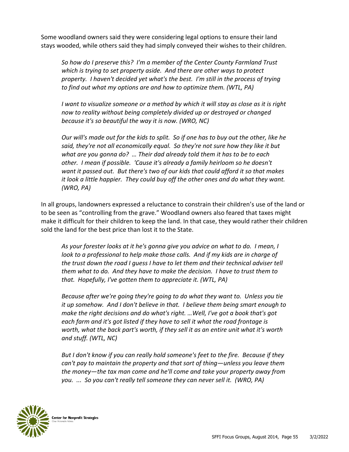Some woodland owners said they were considering legal options to ensure their land stays wooded, while others said they had simply conveyed their wishes to their children.

*So how do I preserve this? I'm a member of the Center County Farmland Trust which is trying to set property aside. And there are other ways to protect property. I haven't decided yet what's the best. I'm still in the process of trying to find out what my options are and how to optimize them. (WTL, PA)*

*I want to visualize someone or a method by which it will stay as close as it is right now to reality without being completely divided up or destroyed or changed because it's so beautiful the way it is now. (WRO, NC)*

*Our will's made out for the kids to split. So if one has to buy out the other, like he said, they're not all economically equal. So they're not sure how they like it but what are you gonna do? … Their dad already told them it has to be to each other. I mean if possible. 'Cause it's already a family heirloom so he doesn't want it passed out. But there's two of our kids that could afford it so that makes it look a little happier. They could buy off the other ones and do what they want. (WRO, PA)*

In all groups, landowners expressed a reluctance to constrain their children's use of the land or to be seen as "controlling from the grave." Woodland owners also feared that taxes might make it difficult for their children to keep the land. In that case, they would rather their children sold the land for the best price than lost it to the State.

*As your forester looks at it he's gonna give you advice on what to do. I mean, I*  look to a professional to help make those calls. And if my kids are in charge of *the trust down the road I guess I have to let them and their technical adviser tell them what to do. And they have to make the decision. I have to trust them to that. Hopefully, I've gotten them to appreciate it. (WTL, PA)*

*Because after we're going they're going to do what they want to. Unless you tie it up somehow. And I don't believe in that. I believe them being smart enough to make the right decisions and do what's right. …Well, I've got a book that's got each farm and it's got listed if they have to sell it what the road frontage is worth, what the back part's worth, if they sell it as an entire unit what it's worth and stuff. (WTL, NC)*

*But I don't know if you can really hold someone's feet to the fire. Because if they can't pay to maintain the property and that sort of thing—unless you leave them the money—the tax man come and he'll come and take your property away from you. ... So you can't really tell someone they can never sell it. (WRO, PA)*

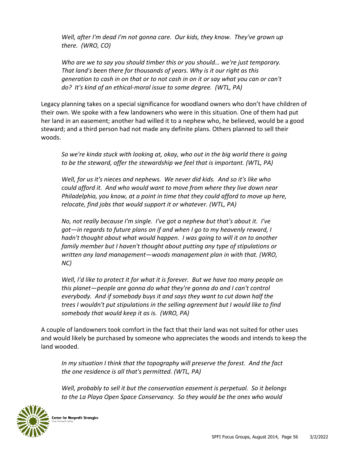*Well, after I'm dead I'm not gonna care. Our kids, they know. They've grown up there. (WRO, CO)*

*Who are we to say you should timber this or you should… we're just temporary. That land's been there for thousands of years. Why is it our right as this generation to cash in on that or to not cash in on it or say what you can or can't do? It's kind of an ethical-moral issue to some degree. (WTL, PA)*

Legacy planning takes on a special significance for woodland owners who don't have children of their own. We spoke with a few landowners who were in this situation. One of them had put her land in an easement; another had willed it to a nephew who, he believed, would be a good steward; and a third person had not made any definite plans. Others planned to sell their woods.

*So we're kinda stuck with looking at, okay, who out in the big world there is going to be the steward, offer the stewardship we feel that is important. (WTL, PA)*

*Well, for us it's nieces and nephews. We never did kids. And so it's like who could afford it. And who would want to move from where they live down near Philadelphia, you know, at a point in time that they could afford to move up here, relocate, find jobs that would support it or whatever. (WTL, PA)*

*No, not really because I'm single. I've got a nephew but that's about it. I've got—in regards to future plans on if and when I go to my heavenly reward, I hadn't thought about what would happen. I was going to will it on to another family member but I haven't thought about putting any type of stipulations or written any land management—woods management plan in with that. (WRO, NC)*

*Well, I'd like to protect it for what it is forever. But we have too many people on this planet—people are gonna do what they're gonna do and I can't control everybody. And if somebody buys it and says they want to cut down half the trees I wouldn't put stipulations in the selling agreement but I would like to find somebody that would keep it as is. (WRO, PA)*

A couple of landowners took comfort in the fact that their land was not suited for other uses and would likely be purchased by someone who appreciates the woods and intends to keep the land wooded.

*In my situation I think that the topography will preserve the forest. And the fact the one residence is all that's permitted. (WTL, PA)*

*Well, probably to sell it but the conservation easement is perpetual. So it belongs to the La Playa Open Space Conservancy. So they would be the ones who would* 

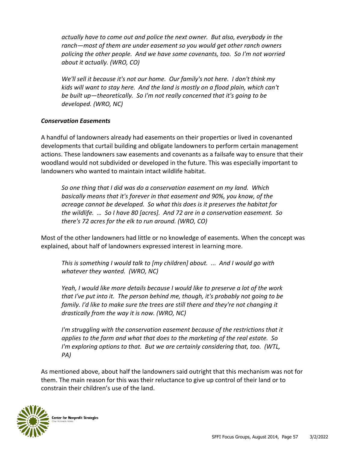*actually have to come out and police the next owner. But also, everybody in the ranch—most of them are under easement so you would get other ranch owners policing the other people. And we have some covenants, too. So I'm not worried about it actually. (WRO, CO)*

*We'll sell it because it's not our home. Our family's not here. I don't think my kids will want to stay here. And the land is mostly on a flood plain, which can't be built up—theoretically. So I'm not really concerned that it's going to be developed. (WRO, NC)*

#### *Conservation Easements*

A handful of landowners already had easements on their properties or lived in covenanted developments that curtail building and obligate landowners to perform certain management actions. These landowners saw easements and covenants as a failsafe way to ensure that their woodland would not subdivided or developed in the future. This was especially important to landowners who wanted to maintain intact wildlife habitat.

*So one thing that I did was do a conservation easement on my land. Which basically means that it's forever in that easement and 90%, you know, of the acreage cannot be developed. So what this does is it preserves the habitat for the wildlife. … So I have 80 [acres]. And 72 are in a conservation easement. So there's 72 acres for the elk to run around. (WRO, CO)*

Most of the other landowners had little or no knowledge of easements. When the concept was explained, about half of landowners expressed interest in learning more.

*This is something I would talk to [my children] about. ... And I would go with whatever they wanted. (WRO, NC)*

*Yeah, I would like more details because I would like to preserve a lot of the work that I've put into it. The person behind me, though, it's probably not going to be family. I'd like to make sure the trees are still there and they're not changing it drastically from the way it is now. (WRO, NC)*

*I'm struggling with the conservation easement because of the restrictions that it applies to the farm and what that does to the marketing of the real estate. So I'm exploring options to that. But we are certainly considering that, too. (WTL, PA)*

As mentioned above, about half the landowners said outright that this mechanism was not for them. The main reason for this was their reluctance to give up control of their land or to constrain their children's use of the land.

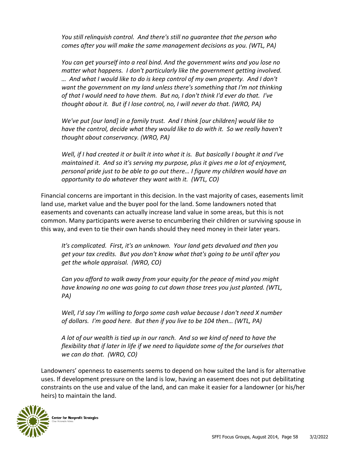*You still relinquish control. And there's still no guarantee that the person who comes after you will make the same management decisions as you. (WTL, PA)*

*You can get yourself into a real bind. And the government wins and you lose no matter what happens. I don't particularly like the government getting involved. … And what I would like to do is keep control of my own property. And I don't want the government on my land unless there's something that I'm not thinking of that I would need to have them. But no, I don't think I'd ever do that. I've thought about it. But if I lose control, no, I will never do that. (WRO, PA)*

*We've put [our land] in a family trust. And I think [our children] would like to*  have the control, decide what they would like to do with it. So we really haven't *thought about conservancy. (WRO, PA)*

*Well, if I had created it or built it into what it is. But basically I bought it and I've maintained it. And so it's serving my purpose, plus it gives me a lot of enjoyment, personal pride just to be able to go out there… I figure my children would have an opportunity to do whatever they want with it. (WTL, CO)*

Financial concerns are important in this decision. In the vast majority of cases, easements limit land use, market value and the buyer pool for the land. Some landowners noted that easements and covenants can actually increase land value in some areas, but this is not common. Many participants were averse to encumbering their children or surviving spouse in this way, and even to tie their own hands should they need money in their later years.

*It's complicated. First, it's an unknown. Your land gets devalued and then you get your tax credits. But you don't know what that's going to be until after you get the whole appraisal. (WRO, CO)*

*Can you afford to walk away from your equity for the peace of mind you might have knowing no one was going to cut down those trees you just planted. (WTL, PA)*

*Well, I'd say I'm willing to forgo some cash value because I don't need X number of dollars. I'm good here. But then if you live to be 104 then… (WTL, PA)*

*A lot of our wealth is tied up in our ranch. And so we kind of need to have the flexibility that if later in life if we need to liquidate some of the for ourselves that we can do that. (WRO, CO)*

Landowners' openness to easements seems to depend on how suited the land is for alternative uses. If development pressure on the land is low, having an easement does not put debilitating constraints on the use and value of the land, and can make it easier for a landowner (or his/her heirs) to maintain the land.